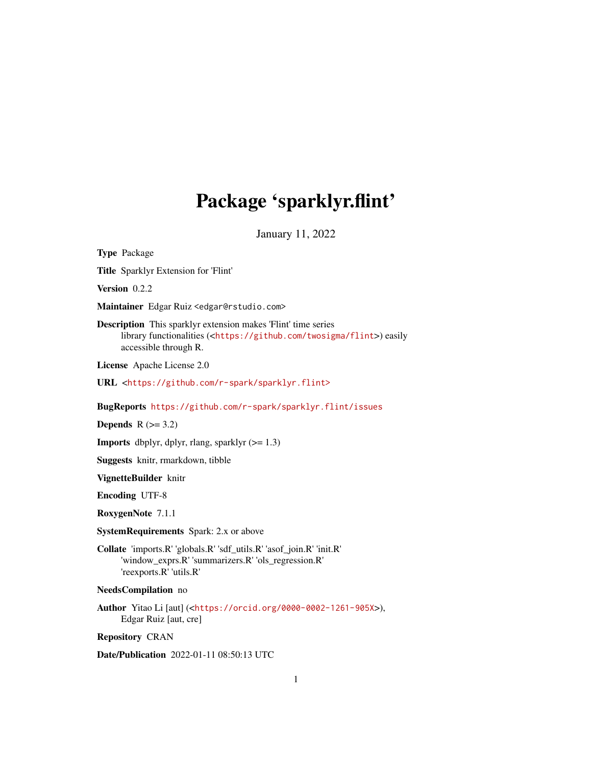# Package 'sparklyr.flint'

January 11, 2022

| <b>Type Package</b>                                                                                                                                                                      |
|------------------------------------------------------------------------------------------------------------------------------------------------------------------------------------------|
| Title Sparklyr Extension for 'Flint'                                                                                                                                                     |
| Version 0.2.2                                                                                                                                                                            |
| Maintainer Edgar Ruiz <edgar@rstudio.com></edgar@rstudio.com>                                                                                                                            |
| <b>Description</b> This sparklyr extension makes 'Flint' time series<br>library functionalities ( <https: flint="" github.com="" twosigma="">) easily<br/>accessible through R.</https:> |
| License Apache License 2.0                                                                                                                                                               |
| URL <https: github.com="" r-spark="" sparklyr.flint=""></https:>                                                                                                                         |
| BugReports https://github.com/r-spark/sparklyr.flint/issues                                                                                                                              |
| Depends $R (=3.2)$                                                                                                                                                                       |
| <b>Imports</b> dbplyr, dplyr, rlang, sparklyr $(>= 1.3)$                                                                                                                                 |
| <b>Suggests</b> knitr, rmarkdown, tibble                                                                                                                                                 |
| VignetteBuilder knitr                                                                                                                                                                    |
| <b>Encoding UTF-8</b>                                                                                                                                                                    |
| RoxygenNote 7.1.1                                                                                                                                                                        |
| <b>SystemRequirements</b> Spark: 2.x or above                                                                                                                                            |
| Collate 'imports.R' 'globals.R' 'sdf_utils.R' 'asof_join.R' 'init.R'<br>'window_exprs.R' 'summarizers.R' 'ols_regression.R'<br>'reexports.R' 'utils.R'                                   |
| <b>NeedsCompilation</b> no                                                                                                                                                               |
| <b>Author</b> Yitao Li [aut] ( <https: 0000-0002-1261-905x="" orcid.org="">),<br/>Edgar Ruiz [aut, cre]</https:>                                                                         |
| <b>Repository CRAN</b>                                                                                                                                                                   |

Date/Publication 2022-01-11 08:50:13 UTC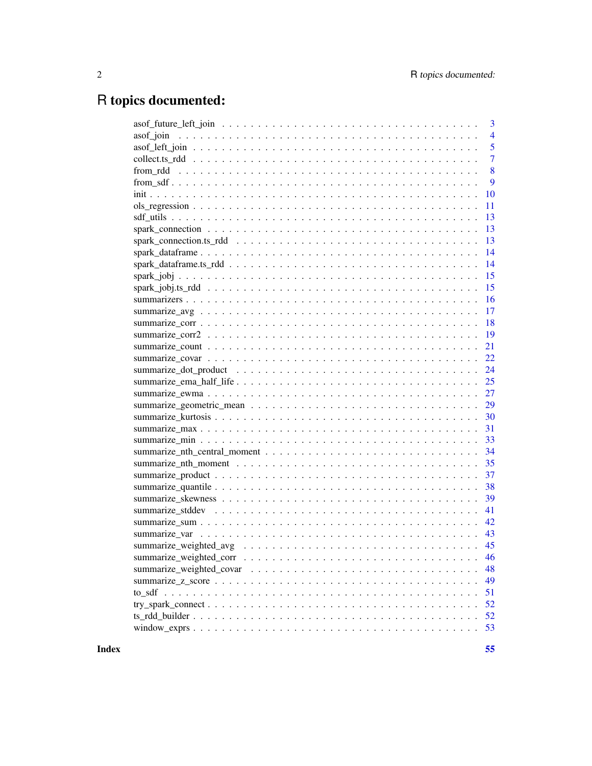## R topics documented:

| 3                                                                                                                           |
|-----------------------------------------------------------------------------------------------------------------------------|
| $\overline{4}$                                                                                                              |
| 5                                                                                                                           |
| $\overline{7}$                                                                                                              |
| 8                                                                                                                           |
| 9                                                                                                                           |
| 10                                                                                                                          |
| 11                                                                                                                          |
| 13                                                                                                                          |
| 13                                                                                                                          |
| 13                                                                                                                          |
| 14                                                                                                                          |
| 14                                                                                                                          |
| 15                                                                                                                          |
| 15                                                                                                                          |
| 16                                                                                                                          |
| 17                                                                                                                          |
| 18                                                                                                                          |
| 19                                                                                                                          |
| 21                                                                                                                          |
| 22                                                                                                                          |
| 24                                                                                                                          |
| 25                                                                                                                          |
| 27                                                                                                                          |
| 29                                                                                                                          |
| 30                                                                                                                          |
| 31                                                                                                                          |
| 33                                                                                                                          |
| 34                                                                                                                          |
| 35                                                                                                                          |
| 37                                                                                                                          |
| 38                                                                                                                          |
| 39                                                                                                                          |
| 41                                                                                                                          |
| 42                                                                                                                          |
|                                                                                                                             |
| 45                                                                                                                          |
| 46                                                                                                                          |
| 48                                                                                                                          |
| 49                                                                                                                          |
| 51                                                                                                                          |
| $try\_spark\_connect \dots \dots \dots \dots \dots \dots \dots \dots \dots \dots \dots \dots \dots \dots \dots \dots$<br>52 |
| 52                                                                                                                          |
| 53                                                                                                                          |
|                                                                                                                             |

**Index** [55](#page-54-0)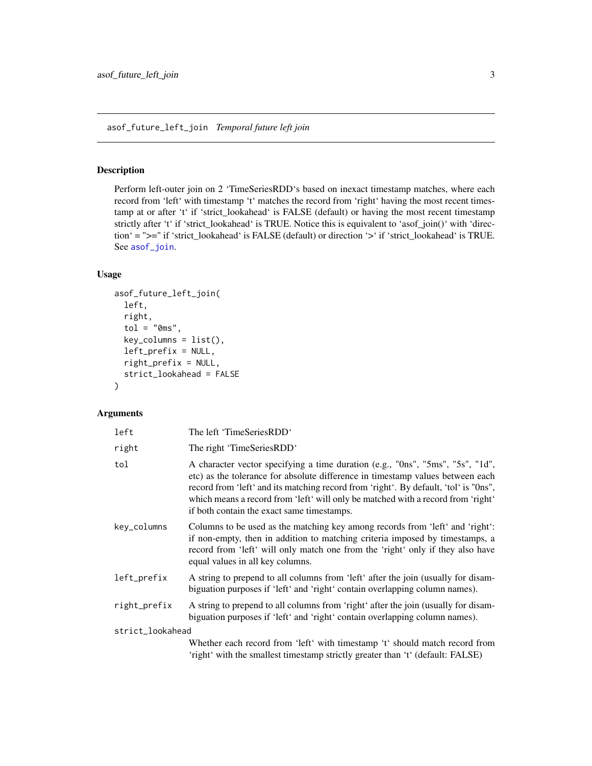## <span id="page-2-1"></span><span id="page-2-0"></span>asof\_future\_left\_join *Temporal future left join*

## Description

Perform left-outer join on 2 'TimeSeriesRDD's based on inexact timestamp matches, where each record from 'left' with timestamp 't' matches the record from 'right' having the most recent timestamp at or after 't' if 'strict\_lookahead' is FALSE (default) or having the most recent timestamp strictly after 't' if 'strict\_lookahead' is TRUE. Notice this is equivalent to 'asof\_join()' with 'direction' = ">=" if 'strict\_lookahead' is FALSE (default) or direction '>' if 'strict\_lookahead' is TRUE. See [asof\\_join](#page-3-1).

## Usage

```
asof_future_left_join(
  left,
  right,
  tol = "0ms",
  key_columns = list(),
  left_prefix = NULL,
  right_prefix = NULL,
  strict_lookahead = FALSE
)
```

| left             | The left 'TimeSeriesRDD'                                                                                                                                                                                                                                                                                                                                                                   |
|------------------|--------------------------------------------------------------------------------------------------------------------------------------------------------------------------------------------------------------------------------------------------------------------------------------------------------------------------------------------------------------------------------------------|
| right            | The right 'TimeSeriesRDD'                                                                                                                                                                                                                                                                                                                                                                  |
| tol              | A character vector specifying a time duration (e.g., "Ons", "5ms", "5s", "1d",<br>etc) as the tolerance for absolute difference in timestamp values between each<br>record from 'left' and its matching record from 'right'. By default, 'tol' is "Ons",<br>which means a record from 'left' will only be matched with a record from 'right'<br>if both contain the exact same timestamps. |
| key_columns      | Columns to be used as the matching key among records from 'left' and 'right':<br>if non-empty, then in addition to matching criteria imposed by timestamps, a<br>record from 'left' will only match one from the 'right' only if they also have<br>equal values in all key columns.                                                                                                        |
| left_prefix      | A string to prepend to all columns from 'left' after the join (usually for disam-<br>biguation purposes if 'left' and 'right' contain overlapping column names).                                                                                                                                                                                                                           |
| right_prefix     | A string to prepend to all columns from 'right' after the join (usually for disam-<br>biguation purposes if 'left' and 'right' contain overlapping column names).                                                                                                                                                                                                                          |
| strict_lookahead |                                                                                                                                                                                                                                                                                                                                                                                            |
|                  | Whether each record from 'left' with timestamp 't' should match record from<br>'right' with the smallest timestamp strictly greater than 't' (default: FALSE)                                                                                                                                                                                                                              |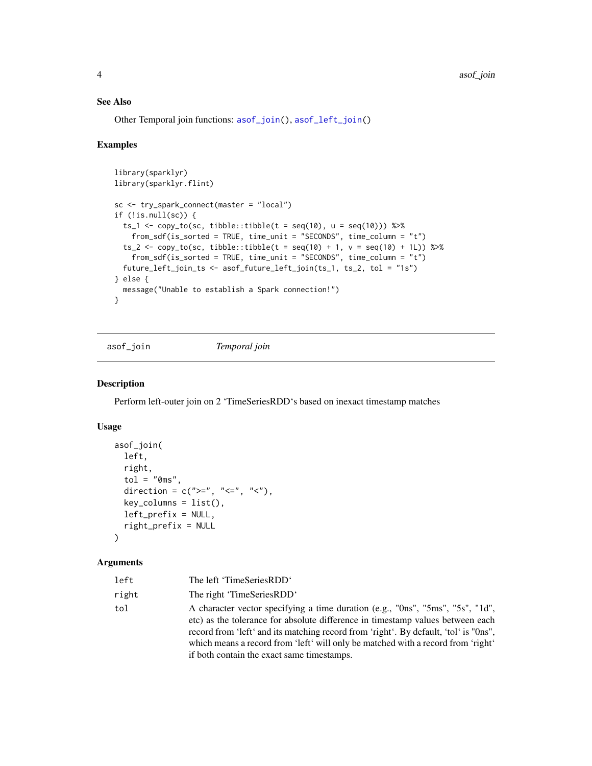## See Also

Other Temporal join functions: [asof\\_join\(](#page-3-1)), [asof\\_left\\_join\(](#page-4-1))

## Examples

```
library(sparklyr)
library(sparklyr.flint)
sc <- try_spark_connect(master = "local")
if (!is.null(sc)) {
 ts_1 <- copy_to(sc, tibble::tibble(t = seq(10), u = seq(10))) %\gg%
   from_sdf(is_sorted = TRUE, time_unit = "SECONDS", time_column = "t")
  ts_2 <- copy_to(sc, tibble::tibble(t = seq(10) + 1, v = seq(10) + 1L)) %>%
   from_sdf(is_sorted = TRUE, time_unit = "SECONDS", time_column = "t")
  future_left_join_ts <- asof_future_left_join(ts_1, ts_2, tol = "1s")
} else {
  message("Unable to establish a Spark connection!")
}
```
<span id="page-3-1"></span>asof\_join *Temporal join*

## Description

Perform left-outer join on 2 'TimeSeriesRDD's based on inexact timestamp matches

## Usage

```
asof_join(
  left,
  right,
  tol = "0ms",
  direction = c(">=", "<=", "<=",key\_columns = list(),
  left_prefix = NULL,
  right_prefix = NULL
)
```

| left  | The left 'TimeSeriesRDD'                                                                                                                                                                                                                                                                                                                                                                   |
|-------|--------------------------------------------------------------------------------------------------------------------------------------------------------------------------------------------------------------------------------------------------------------------------------------------------------------------------------------------------------------------------------------------|
| right | The right 'TimeSeriesRDD'                                                                                                                                                                                                                                                                                                                                                                  |
| tol   | A character vector specifying a time duration (e.g., "Ons", "5ms", "5s", "1d",<br>etc) as the tolerance for absolute difference in timestamp values between each<br>record from 'left' and its matching record from 'right'. By default, 'tol' is "Ons",<br>which means a record from 'left' will only be matched with a record from 'right'<br>if both contain the exact same timestamps. |

<span id="page-3-0"></span>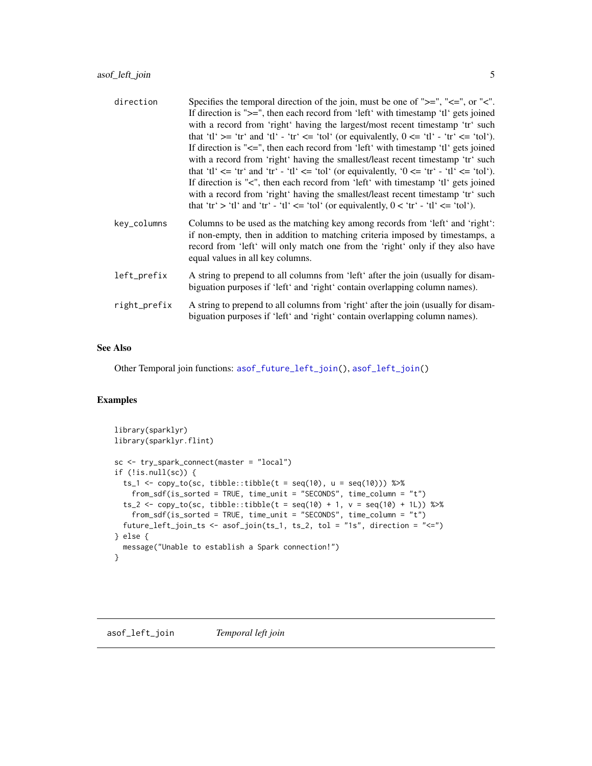<span id="page-4-0"></span>

| direction    | Specifies the temporal direction of the join, must be one of " $>=$ ", " $<=$ ", or " $lt$ ".<br>If direction is " $>=$ ", then each record from 'left' with timestamp 'tl' gets joined<br>with a record from 'right' having the largest/most recent timestamp 'tr' such<br>that 'tl' $>=$ 'tr' and 'tl' - 'tr' $<=$ 'tol' (or equivalently, $0<=$ 'tl' - 'tr' $<=$ 'tol').<br>If direction is " $\leq$ ", then each record from 'left' with timestamp 'tl' gets joined<br>with a record from 'right' having the smallest/least recent timestamp 'tr' such<br>that 'tl' $\leq$ 'tr' and 'tr' - 'tl' $\leq$ 'tol' (or equivalently, '0 $\leq$ 'tr' - 'tl' $\leq$ 'tol').<br>If direction is "<", then each record from 'left' with timestamp 'tl' gets joined<br>with a record from 'right' having the smallest/least recent timestamp 'tr' such<br>that 'tr' > 'tl' and 'tr' - 'tl' <= 'tol' (or equivalently, $0 <$ 'tr' - 'tl' <= 'tol'). |
|--------------|---------------------------------------------------------------------------------------------------------------------------------------------------------------------------------------------------------------------------------------------------------------------------------------------------------------------------------------------------------------------------------------------------------------------------------------------------------------------------------------------------------------------------------------------------------------------------------------------------------------------------------------------------------------------------------------------------------------------------------------------------------------------------------------------------------------------------------------------------------------------------------------------------------------------------------------------|
| key_columns  | Columns to be used as the matching key among records from 'left' and 'right':<br>if non-empty, then in addition to matching criteria imposed by timestamps, a<br>record from 'left' will only match one from the 'right' only if they also have<br>equal values in all key columns.                                                                                                                                                                                                                                                                                                                                                                                                                                                                                                                                                                                                                                                         |
| left_prefix  | A string to prepend to all columns from 'left' after the join (usually for disam-<br>biguation purposes if 'left' and 'right' contain overlapping column names).                                                                                                                                                                                                                                                                                                                                                                                                                                                                                                                                                                                                                                                                                                                                                                            |
| right_prefix | A string to prepend to all columns from 'right' after the join (usually for disam-<br>biguation purposes if 'left' and 'right' contain overlapping column names).                                                                                                                                                                                                                                                                                                                                                                                                                                                                                                                                                                                                                                                                                                                                                                           |

## See Also

Other Temporal join functions: [asof\\_future\\_left\\_join\(](#page-2-1)), [asof\\_left\\_join\(](#page-4-1))

```
library(sparklyr)
library(sparklyr.flint)
sc <- try_spark_connect(master = "local")
if (!is.null(sc)) {
  ts_1 <- copy_to(sc, tibble::tibble(t = seq(10), u = seq(10))) %\gg%
    from_sdf(is_sorted = TRUE, time_unit = "SECONDS", time_column = "t")
  ts_2 <- copy_to(sc, tibble::tibble(t = seq(10) + 1, v = seq(10) + 1L)) %>%
    from_sdf(is_sorted = TRUE, time_unit = "SECONDS", time_column = "t")
  future_left_join_ts <- asof_join(ts_1, ts_2, tol = "1s", direction = "<=")
} else {
  message("Unable to establish a Spark connection!")
}
```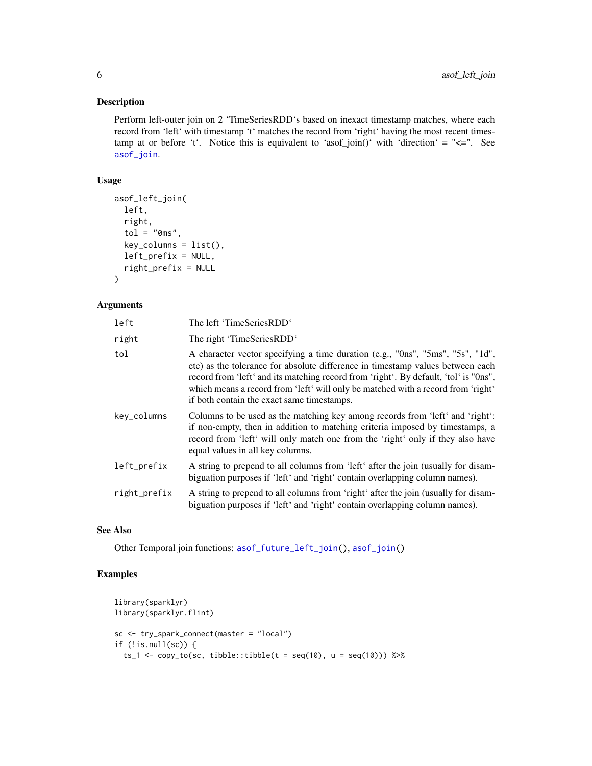## <span id="page-5-0"></span>Description

Perform left-outer join on 2 'TimeSeriesRDD's based on inexact timestamp matches, where each record from 'left' with timestamp 't' matches the record from 'right' having the most recent timestamp at or before 't'. Notice this is equivalent to 'asof\_join()' with 'direction' = " $\leq$ =". See [asof\\_join](#page-3-1).

## Usage

```
asof_left_join(
  left,
  right,
  tol = "0ms",
  key\_columns = list(),
  left_prefix = NULL,
  right_prefix = NULL
\lambda
```
#### Arguments

| left         | The left 'TimeSeriesRDD'                                                                                                                                                                                                                                                                                                                                                                   |
|--------------|--------------------------------------------------------------------------------------------------------------------------------------------------------------------------------------------------------------------------------------------------------------------------------------------------------------------------------------------------------------------------------------------|
| right        | The right 'TimeSeriesRDD'                                                                                                                                                                                                                                                                                                                                                                  |
| tol          | A character vector specifying a time duration (e.g., "Ons", "5ms", "5s", "1d",<br>etc) as the tolerance for absolute difference in timestamp values between each<br>record from 'left' and its matching record from 'right'. By default, 'tol' is "Ons",<br>which means a record from 'left' will only be matched with a record from 'right'<br>if both contain the exact same timestamps. |
| key_columns  | Columns to be used as the matching key among records from 'left' and 'right':<br>if non-empty, then in addition to matching criteria imposed by timestamps, a<br>record from 'left' will only match one from the 'right' only if they also have<br>equal values in all key columns.                                                                                                        |
| left_prefix  | A string to prepend to all columns from 'left' after the join (usually for disam-<br>biguation purposes if 'left' and 'right' contain overlapping column names).                                                                                                                                                                                                                           |
| right_prefix | A string to prepend to all columns from 'right' after the join (usually for disam-<br>biguation purposes if 'left' and 'right' contain overlapping column names).                                                                                                                                                                                                                          |

## See Also

Other Temporal join functions: [asof\\_future\\_left\\_join\(](#page-2-1)), [asof\\_join\(](#page-3-1))

```
library(sparklyr)
library(sparklyr.flint)
sc <- try_spark_connect(master = "local")
if (!is.null(sc)) {
  ts_1 <- copy_to(sc, tibble::tibble(t = seq(10), u = seq(10))) %\gg%
```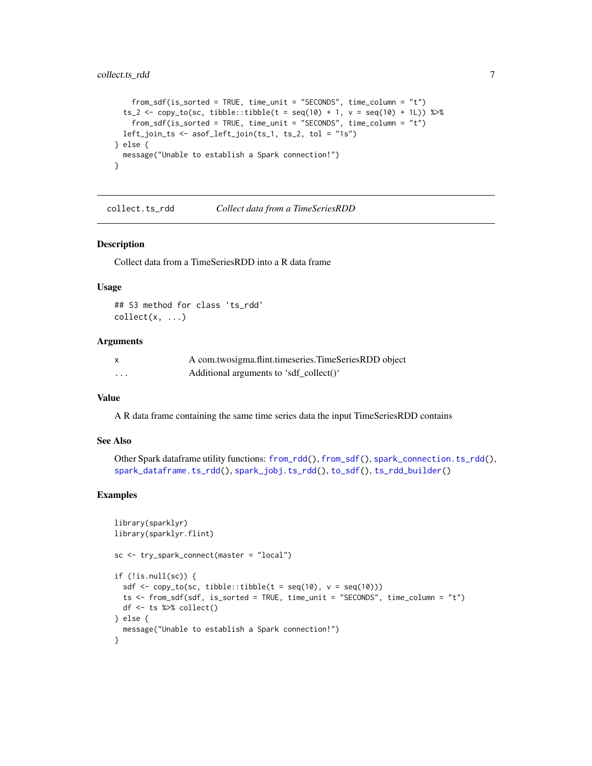```
from_sdf(is_sorted = TRUE, time_unit = "SECONDS", time_column = "t")
 ts_2 < - copy_to(sc, tible::tible(t = seq(10) + 1, v = seq(10) + 1)) %>%
   from_sdf(is_sorted = TRUE, time_unit = "SECONDS", time_column = "t")
 left_join_ts <- asof_left_join(ts_1, ts_2, tol = "1s")
} else {
 message("Unable to establish a Spark connection!")
}
```
<span id="page-6-1"></span>collect.ts\_rdd *Collect data from a TimeSeriesRDD*

#### Description

Collect data from a TimeSeriesRDD into a R data frame

#### Usage

## S3 method for class 'ts\_rdd'  $collect(x, \ldots)$ 

#### Arguments

| $\mathsf{x}$ | A com.twosigma.flint.timeseries.TimeSeriesRDD object |
|--------------|------------------------------------------------------|
| .            | Additional arguments to 'sdf_collect()'              |

## Value

A R data frame containing the same time series data the input TimeSeriesRDD contains

#### See Also

```
Other Spark dataframe utility functions: from_rdd(), from_sdf(), spark_connection.ts_rdd(),
spark_dataframe.ts_rdd(), spark_jobj.ts_rdd(), to_sdf(), ts_rdd_builder()
```

```
library(sparklyr)
library(sparklyr.flint)
sc <- try_spark_connect(master = "local")
if (!is.null(sc)) {
  sdf \leftarrow copy_to(sc, tibble::tibble(t = seq(10), v = seq(10)))ts <- from_sdf(sdf, is_sorted = TRUE, time_unit = "SECONDS", time_column = "t")
  df <- ts %>% collect()
} else {
  message("Unable to establish a Spark connection!")
}
```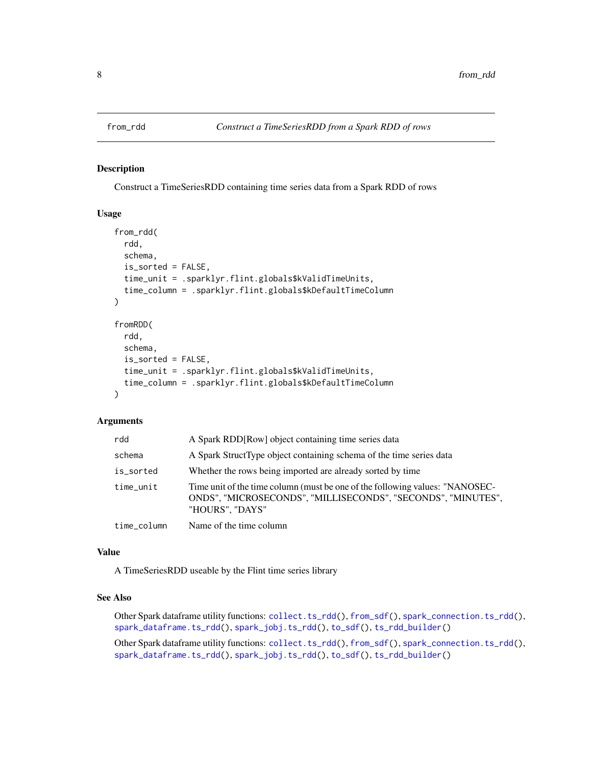<span id="page-7-1"></span><span id="page-7-0"></span>

## Description

Construct a TimeSeriesRDD containing time series data from a Spark RDD of rows

## Usage

```
from_rdd(
  rdd,
  schema,
  is_sorted = FALSE,
  time_unit = .sparklyr.flint.globals$kValidTimeUnits,
  time_column = .sparklyr.flint.globals$kDefaultTimeColumn
\lambdafromRDD(
  rdd,
  schema,
  is_sorted = FALSE,
  time_unit = .sparklyr.flint.globals$kValidTimeUnits,
  time_column = .sparklyr.flint.globals$kDefaultTimeColumn
)
```
## Arguments

| rdd         | A Spark RDD [Row] object containing time series data                                                                                                            |
|-------------|-----------------------------------------------------------------------------------------------------------------------------------------------------------------|
| schema      | A Spark StructType object containing schema of the time series data                                                                                             |
| is_sorted   | Whether the rows being imported are already sorted by time                                                                                                      |
| time_unit   | Time unit of the time column (must be one of the following values: "NANOSEC-<br>ONDS", "MICROSECONDS", "MILLISECONDS", "SECONDS", "MINUTES",<br>"HOURS", "DAYS" |
| time_column | Name of the time column                                                                                                                                         |

## Value

A TimeSeriesRDD useable by the Flint time series library

## See Also

Other Spark dataframe utility functions: [collect.ts\\_rdd\(](#page-6-1)), [from\\_sdf\(](#page-8-1)), [spark\\_connection.ts\\_rdd\(](#page-12-1)), [spark\\_dataframe.ts\\_rdd\(](#page-13-1)), [spark\\_jobj.ts\\_rdd\(](#page-14-1)), [to\\_sdf\(](#page-50-1)), [ts\\_rdd\\_builder\(](#page-51-1))

Other Spark dataframe utility functions: [collect.ts\\_rdd\(](#page-6-1)), [from\\_sdf\(](#page-8-1)), [spark\\_connection.ts\\_rdd\(](#page-12-1)), [spark\\_dataframe.ts\\_rdd\(](#page-13-1)), [spark\\_jobj.ts\\_rdd\(](#page-14-1)), [to\\_sdf\(](#page-50-1)), [ts\\_rdd\\_builder\(](#page-51-1))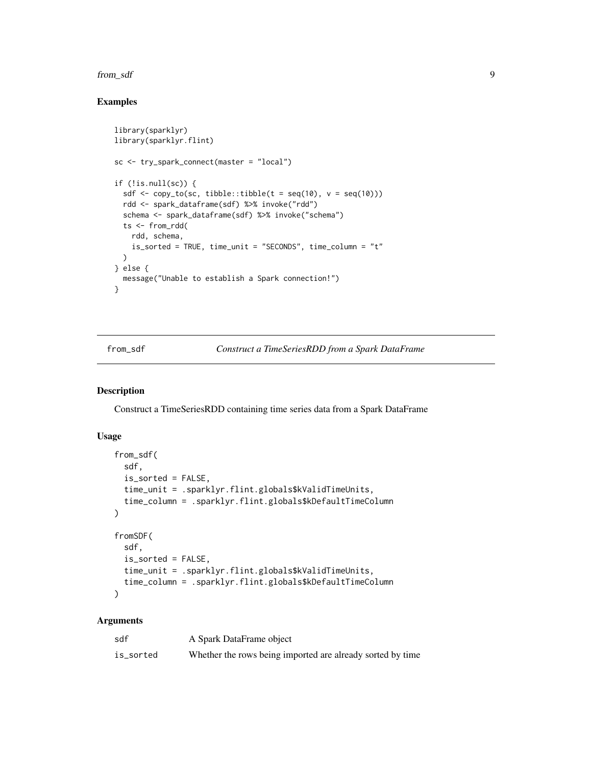#### <span id="page-8-0"></span>from\_sdf 9

## Examples

```
library(sparklyr)
library(sparklyr.flint)
sc <- try_spark_connect(master = "local")
if (!is.null(sc)) {
  sdf \leftarrow copy_to(sc, tibble::tibble(t = seq(10), v = seq(10)))rdd <- spark_dataframe(sdf) %>% invoke("rdd")
  schema <- spark_dataframe(sdf) %>% invoke("schema")
  ts <- from_rdd(
   rdd, schema,
    is_sorted = TRUE, time_unit = "SECONDS", time_column = "t"
  \lambda} else {
  message("Unable to establish a Spark connection!")
}
```
<span id="page-8-1"></span>from\_sdf *Construct a TimeSeriesRDD from a Spark DataFrame*

## Description

Construct a TimeSeriesRDD containing time series data from a Spark DataFrame

## Usage

```
from_sdf(
  sdf,
  is_sorted = FALSE,
  time_unit = .sparklyr.flint.globals$kValidTimeUnits,
  time_column = .sparklyr.flint.globals$kDefaultTimeColumn
\lambdafromSDF(
  sdf,
  is_sorted = FALSE,
  time_unit = .sparklyr.flint.globals$kValidTimeUnits,
  time_column = .sparklyr.flint.globals$kDefaultTimeColumn
)
```

| sdf       | A Spark DataFrame object                                   |
|-----------|------------------------------------------------------------|
| is_sorted | Whether the rows being imported are already sorted by time |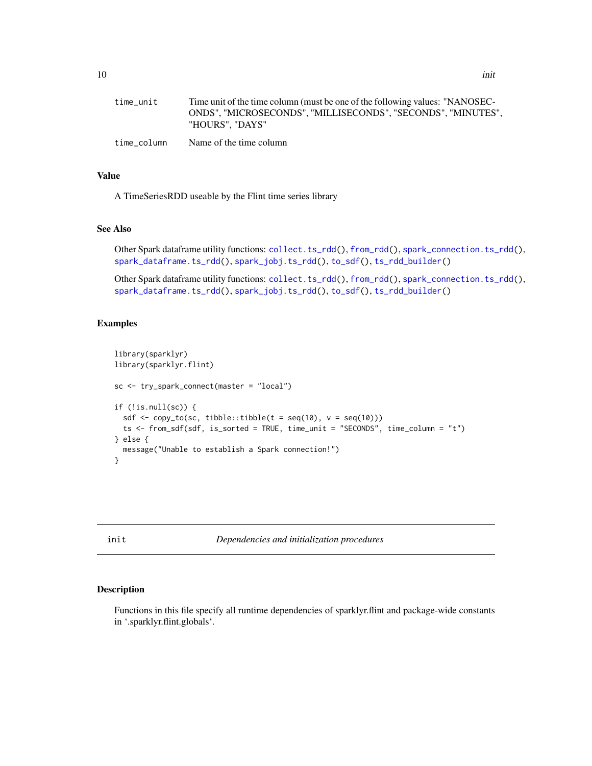<span id="page-9-0"></span>

| me unic | Three unit of the time column (must be one of the following values. NANOSEC- |
|---------|------------------------------------------------------------------------------|
|         | ONDS", "MICROSECONDS", "MILLISECONDS", "SECONDS", "MINUTES",                 |
|         | "HOURS". "DAYS"                                                              |
|         |                                                                              |

time\_column Name of the time column

## Value

A TimeSeriesRDD useable by the Flint time series library

## See Also

Other Spark dataframe utility functions: [collect.ts\\_rdd\(](#page-6-1)), [from\\_rdd\(](#page-7-1)), [spark\\_connection.ts\\_rdd\(](#page-12-1)), [spark\\_dataframe.ts\\_rdd\(](#page-13-1)), [spark\\_jobj.ts\\_rdd\(](#page-14-1)), [to\\_sdf\(](#page-50-1)), [ts\\_rdd\\_builder\(](#page-51-1))

Other Spark dataframe utility functions: [collect.ts\\_rdd\(](#page-6-1)), [from\\_rdd\(](#page-7-1)), [spark\\_connection.ts\\_rdd\(](#page-12-1)), [spark\\_dataframe.ts\\_rdd\(](#page-13-1)), [spark\\_jobj.ts\\_rdd\(](#page-14-1)), [to\\_sdf\(](#page-50-1)), [ts\\_rdd\\_builder\(](#page-51-1))

## Examples

```
library(sparklyr)
library(sparklyr.flint)
sc <- try_spark_connect(master = "local")
if (!is.null(sc)) {
  sdf \leftarrow copy_to(sc, tibble::tibble(t = seq(10), v = seq(10)))ts <- from_sdf(sdf, is_sorted = TRUE, time_unit = "SECONDS", time_column = "t")
} else {
  message("Unable to establish a Spark connection!")
}
```
init *Dependencies and initialization procedures*

## Description

Functions in this file specify all runtime dependencies of sparklyr.flint and package-wide constants in '.sparklyr.flint.globals'.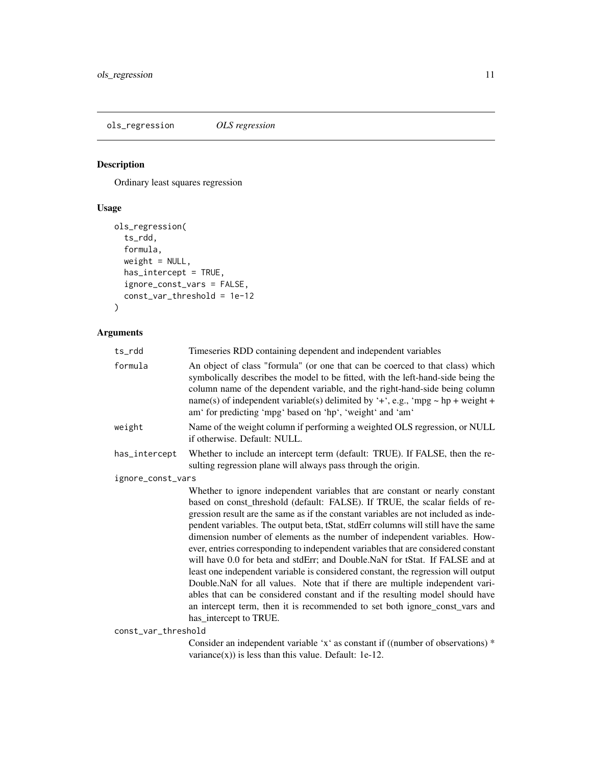<span id="page-10-1"></span><span id="page-10-0"></span>ols\_regression *OLS regression*

## Description

Ordinary least squares regression

## Usage

```
ols_regression(
 ts_rdd,
 formula,
 weight = NULL,
 has_intercept = TRUE,
 ignore_const_vars = FALSE,
 const_var_threshold = 1e-12
)
```

| ts_rdd              | Timeseries RDD containing dependent and independent variables                                                                                                                                                                                                                                                                                                                                                                                                                                                                                                                                                                                                                                                                                                                                                                                                                                                                                             |
|---------------------|-----------------------------------------------------------------------------------------------------------------------------------------------------------------------------------------------------------------------------------------------------------------------------------------------------------------------------------------------------------------------------------------------------------------------------------------------------------------------------------------------------------------------------------------------------------------------------------------------------------------------------------------------------------------------------------------------------------------------------------------------------------------------------------------------------------------------------------------------------------------------------------------------------------------------------------------------------------|
| formula             | An object of class "formula" (or one that can be coerced to that class) which<br>symbolically describes the model to be fitted, with the left-hand-side being the<br>column name of the dependent variable, and the right-hand-side being column<br>name(s) of independent variable(s) delimited by '+', e.g., 'mpg $\sim$ hp + weight +<br>am' for predicting 'mpg' based on 'hp', 'weight' and 'am'                                                                                                                                                                                                                                                                                                                                                                                                                                                                                                                                                     |
| weight              | Name of the weight column if performing a weighted OLS regression, or NULL<br>if otherwise. Default: NULL.                                                                                                                                                                                                                                                                                                                                                                                                                                                                                                                                                                                                                                                                                                                                                                                                                                                |
| has_intercept       | Whether to include an intercept term (default: TRUE). If FALSE, then the re-<br>sulting regression plane will always pass through the origin.                                                                                                                                                                                                                                                                                                                                                                                                                                                                                                                                                                                                                                                                                                                                                                                                             |
| ignore_const_vars   |                                                                                                                                                                                                                                                                                                                                                                                                                                                                                                                                                                                                                                                                                                                                                                                                                                                                                                                                                           |
|                     | Whether to ignore independent variables that are constant or nearly constant<br>based on const_threshold (default: FALSE). If TRUE, the scalar fields of re-<br>gression result are the same as if the constant variables are not included as inde-<br>pendent variables. The output beta, tStat, stdErr columns will still have the same<br>dimension number of elements as the number of independent variables. How-<br>ever, entries corresponding to independent variables that are considered constant<br>will have 0.0 for beta and stdErr; and Double.NaN for tStat. If FALSE and at<br>least one independent variable is considered constant, the regression will output<br>Double.NaN for all values. Note that if there are multiple independent vari-<br>ables that can be considered constant and if the resulting model should have<br>an intercept term, then it is recommended to set both ignore_const_vars and<br>has_intercept to TRUE. |
| const_var_threshold |                                                                                                                                                                                                                                                                                                                                                                                                                                                                                                                                                                                                                                                                                                                                                                                                                                                                                                                                                           |
|                     | Consider an independent variable 'x' as constant if ((number of observations) *<br>variance $(x)$ ) is less than this value. Default: 1e-12.                                                                                                                                                                                                                                                                                                                                                                                                                                                                                                                                                                                                                                                                                                                                                                                                              |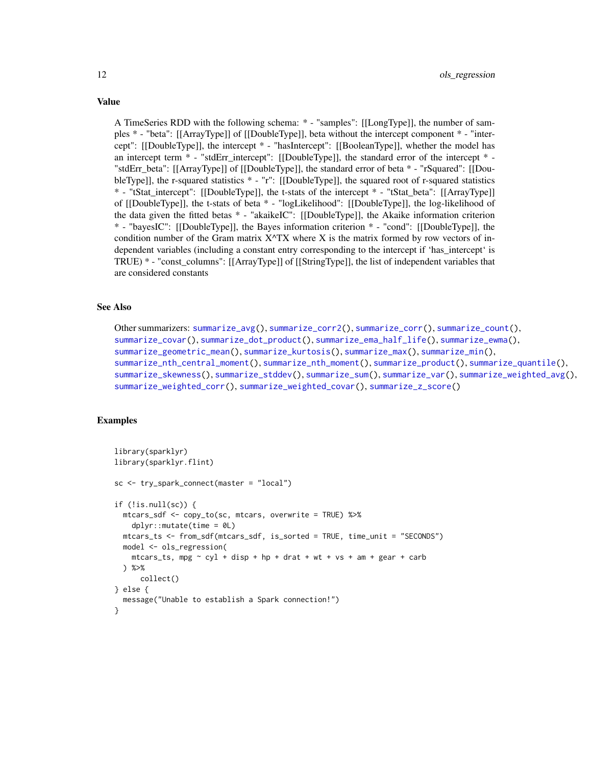A TimeSeries RDD with the following schema: \* - "samples": [[LongType]], the number of samples \* - "beta": [[ArrayType]] of [[DoubleType]], beta without the intercept component \* - "intercept": [[DoubleType]], the intercept \* - "hasIntercept": [[BooleanType]], whether the model has an intercept term \* - "stdErr\_intercept": [[DoubleType]], the standard error of the intercept \* - "stdErr\_beta": [[ArrayType]] of [[DoubleType]], the standard error of beta \* - "rSquared": [[DoubleType]], the r-squared statistics \* - "r": [[DoubleType]], the squared root of r-squared statistics \* - "tStat\_intercept": [[DoubleType]], the t-stats of the intercept \* - "tStat\_beta": [[ArrayType]] of [[DoubleType]], the t-stats of beta \* - "logLikelihood": [[DoubleType]], the log-likelihood of the data given the fitted betas \* - "akaikeIC": [[DoubleType]], the Akaike information criterion \* - "bayesIC": [[DoubleType]], the Bayes information criterion \* - "cond": [[DoubleType]], the condition number of the Gram matrix  $X^T X$  where X is the matrix formed by row vectors of independent variables (including a constant entry corresponding to the intercept if 'has\_intercept' is TRUE) \* - "const\_columns": [[ArrayType]] of [[StringType]], the list of independent variables that are considered constants

#### See Also

Other summarizers: [summarize\\_avg\(](#page-16-1)), [summarize\\_corr2\(](#page-18-1)), [summarize\\_corr\(](#page-17-1)), [summarize\\_count\(](#page-20-1)), [summarize\\_covar\(](#page-21-1)), [summarize\\_dot\\_product\(](#page-23-1)), [summarize\\_ema\\_half\\_life\(](#page-24-1)), [summarize\\_ewma\(](#page-26-1)), [summarize\\_geometric\\_mean\(](#page-28-1)), [summarize\\_kurtosis\(](#page-29-1)), [summarize\\_max\(](#page-30-1)), [summarize\\_min\(](#page-32-1)), [summarize\\_nth\\_central\\_moment\(](#page-33-1)), [summarize\\_nth\\_moment\(](#page-34-1)), [summarize\\_product\(](#page-36-1)), [summarize\\_quantile\(](#page-37-1)), [summarize\\_skewness\(](#page-38-1)), [summarize\\_stddev\(](#page-40-1)), [summarize\\_sum\(](#page-41-1)), [summarize\\_var\(](#page-42-1)), [summarize\\_weighted\\_avg\(](#page-44-1)), [summarize\\_weighted\\_corr\(](#page-45-1)), [summarize\\_weighted\\_covar\(](#page-47-1)), [summarize\\_z\\_score\(](#page-48-1))

## Examples

```
library(sparklyr)
library(sparklyr.flint)
sc <- try_spark_connect(master = "local")
if (!is.null(sc)) {
 mtcars_sdf <- copy_to(sc, mtcars, overwrite = TRUE) %>%
    dplyr::mutate(time = 0L)
 mtcars_ts <- from_sdf(mtcars_sdf, is_sorted = TRUE, time_unit = "SECONDS")
 model <- ols_regression(
    mtcars_ts, mpg \sim cyl + disp + hp + drat + wt + vs + am + gear + carb
 ) %>%
      collect()
} else {
 message("Unable to establish a Spark connection!")
}
```
<span id="page-11-0"></span>

## Value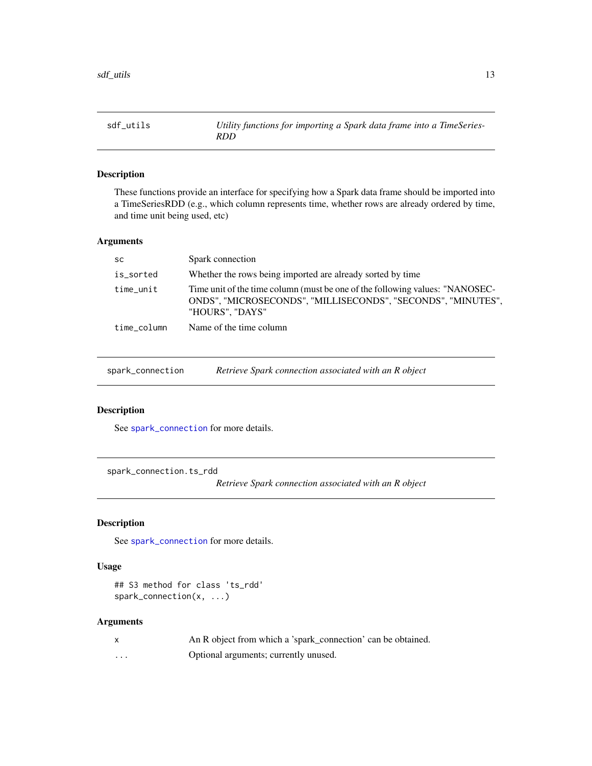<span id="page-12-0"></span>

## Description

These functions provide an interface for specifying how a Spark data frame should be imported into a TimeSeriesRDD (e.g., which column represents time, whether rows are already ordered by time, and time unit being used, etc)

## Arguments

| <b>SC</b>   | Spark connection                                                                                                                                                |
|-------------|-----------------------------------------------------------------------------------------------------------------------------------------------------------------|
| is_sorted   | Whether the rows being imported are already sorted by time                                                                                                      |
| time_unit   | Time unit of the time column (must be one of the following values: "NANOSEC-<br>ONDS", "MICROSECONDS", "MILLISECONDS", "SECONDS", "MINUTES",<br>"HOURS", "DAYS" |
| time column | Name of the time column                                                                                                                                         |

<span id="page-12-2"></span>

| spark_connection | Retrieve Spark connection associated with an R object |
|------------------|-------------------------------------------------------|
|                  |                                                       |

## Description

See [spark\\_connection](#page-12-2) for more details.

<span id="page-12-1"></span>spark\_connection.ts\_rdd

*Retrieve Spark connection associated with an R object*

## Description

See [spark\\_connection](#page-12-2) for more details.

#### Usage

## S3 method for class 'ts\_rdd' spark\_connection(x, ...)

|   | An R object from which a 'spark_connection' can be obtained. |
|---|--------------------------------------------------------------|
| . | Optional arguments; currently unused.                        |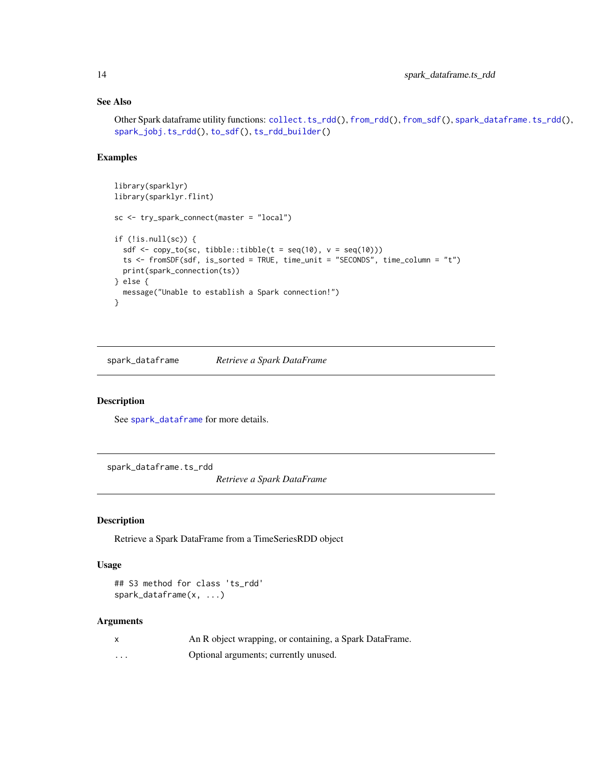## See Also

```
Other Spark dataframe utility functions: collect.ts_rdd(), from_rdd(), from_sdf(), spark_dataframe.ts_rdd(),
spark_jobj.ts_rdd(), to_sdf(), ts_rdd_builder()
```
## Examples

```
library(sparklyr)
library(sparklyr.flint)
sc <- try_spark_connect(master = "local")
if (!is.null(sc)) {
  sdf \leq copy_to(sc, tibble::tibble(t = seq(10), v = seq(10)))
  ts <- fromSDF(sdf, is_sorted = TRUE, time_unit = "SECONDS", time_column = "t")
  print(spark_connection(ts))
} else {
  message("Unable to establish a Spark connection!")
}
```
<span id="page-13-2"></span>spark\_dataframe *Retrieve a Spark DataFrame*

#### Description

See [spark\\_dataframe](#page-13-2) for more details.

<span id="page-13-1"></span>spark\_dataframe.ts\_rdd

*Retrieve a Spark DataFrame*

#### Description

Retrieve a Spark DataFrame from a TimeSeriesRDD object

## Usage

```
## S3 method for class 'ts_rdd'
spark_dataframe(x, ...)
```

| X | An R object wrapping, or containing, a Spark DataFrame. |
|---|---------------------------------------------------------|
| . | Optional arguments; currently unused.                   |

<span id="page-13-0"></span>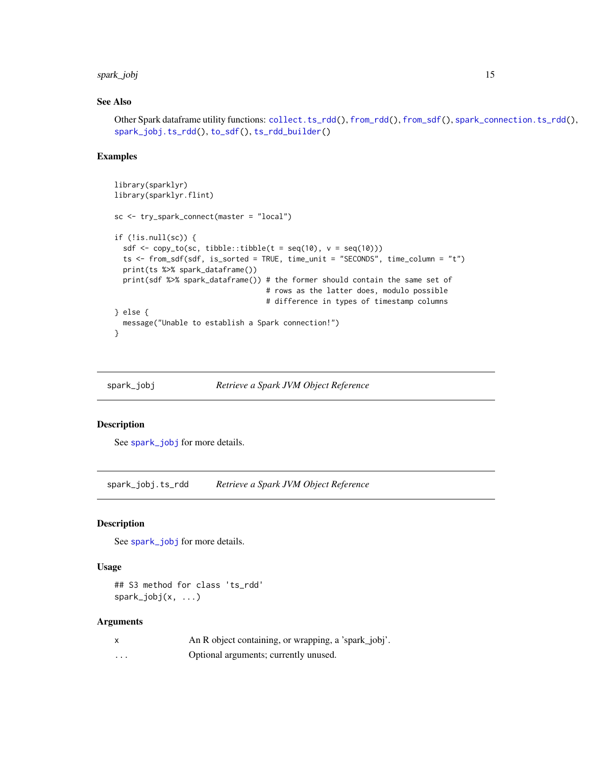## <span id="page-14-0"></span>spark\_jobj 15

## See Also

Other Spark dataframe utility functions: [collect.ts\\_rdd\(](#page-6-1)), [from\\_rdd\(](#page-7-1)), [from\\_sdf\(](#page-8-1)), [spark\\_connection.ts\\_rdd\(](#page-12-1)), [spark\\_jobj.ts\\_rdd\(](#page-14-1)), [to\\_sdf\(](#page-50-1)), [ts\\_rdd\\_builder\(](#page-51-1))

## Examples

```
library(sparklyr)
library(sparklyr.flint)
sc <- try_spark_connect(master = "local")
if (!is.null(sc)) {
  sdf <- copy_to(sc, tibble::tibble(t = seq(10), v = seq(10)))
  ts <- from_sdf(sdf, is_sorted = TRUE, time_unit = "SECONDS", time_column = "t")
  print(ts %>% spark_dataframe())
  print(sdf %>% spark_dataframe()) # the former should contain the same set of
                                   # rows as the latter does, modulo possible
                                   # difference in types of timestamp columns
} else {
  message("Unable to establish a Spark connection!")
}
```
<span id="page-14-2"></span>

spark\_jobj *Retrieve a Spark JVM Object Reference*

#### Description

See [spark\\_jobj](#page-14-2) for more details.

<span id="page-14-1"></span>spark\_jobj.ts\_rdd *Retrieve a Spark JVM Object Reference*

#### Description

See [spark\\_jobj](#page-14-2) for more details.

#### Usage

## S3 method for class 'ts\_rdd' spark\_jobj(x, ...)

|   | An R object containing, or wrapping, a 'spark_jobj'. |
|---|------------------------------------------------------|
| . | Optional arguments; currently unused.                |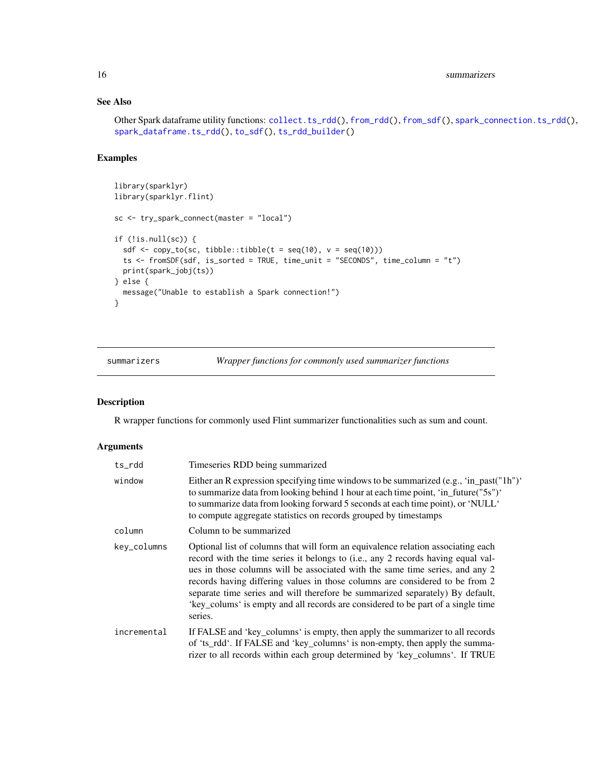## See Also

```
Other Spark dataframe utility functions: collect.ts_rdd(), from_rdd(), from_sdf(), spark_connection.ts_rdd(),
spark_dataframe.ts_rdd(), to_sdf(), ts_rdd_builder()
```
## Examples

```
library(sparklyr)
library(sparklyr.flint)
sc <- try_spark_connect(master = "local")
if (!is.null(sc)) {
  sdf \leq copy_to(sc, tibble::tibble(t = seq(10), v = seq(10)))
  ts <- fromSDF(sdf, is_sorted = TRUE, time_unit = "SECONDS", time_column = "t")
  print(spark_jobj(ts))
} else {
  message("Unable to establish a Spark connection!")
}
```
summarizers *Wrapper functions for commonly used summarizer functions*

## Description

R wrapper functions for commonly used Flint summarizer functionalities such as sum and count.

| ts_rdd      | Timeseries RDD being summarized                                                                                                                                                                                                                                                                                                                                                                                                                                                                                      |
|-------------|----------------------------------------------------------------------------------------------------------------------------------------------------------------------------------------------------------------------------------------------------------------------------------------------------------------------------------------------------------------------------------------------------------------------------------------------------------------------------------------------------------------------|
| window      | Either an R expression specifying time windows to be summarized (e.g., 'in_past( $\text{"1h"}$ )'<br>to summarize data from looking behind 1 hour at each time point, 'in_future("5s")'<br>to summarize data from looking forward 5 seconds at each time point), or 'NULL'<br>to compute aggregate statistics on records grouped by timestamps                                                                                                                                                                       |
| column      | Column to be summarized                                                                                                                                                                                                                                                                                                                                                                                                                                                                                              |
| key_columns | Optional list of columns that will form an equivalence relation associating each<br>record with the time series it belongs to (i.e., any 2 records having equal val-<br>ues in those columns will be associated with the same time series, and any 2<br>records having differing values in those columns are considered to be from 2<br>separate time series and will therefore be summarized separately) By default,<br>'key_colums' is empty and all records are considered to be part of a single time<br>series. |
| incremental | If FALSE and 'key_columns' is empty, then apply the summarizer to all records<br>of 'ts_rdd'. If FALSE and 'key_columns' is non-empty, then apply the summa-<br>rizer to all records within each group determined by 'key_columns'. If TRUE                                                                                                                                                                                                                                                                          |

<span id="page-15-0"></span>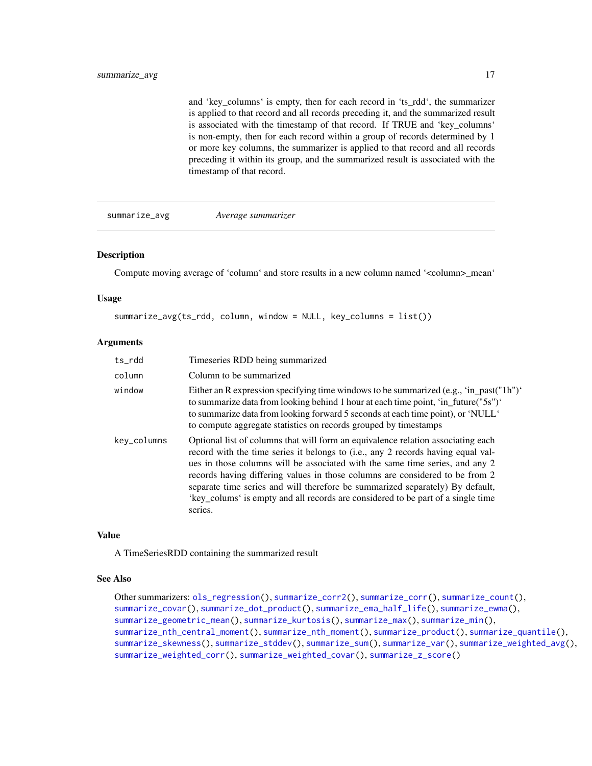<span id="page-16-0"></span>and 'key\_columns' is empty, then for each record in 'ts\_rdd', the summarizer is applied to that record and all records preceding it, and the summarized result is associated with the timestamp of that record. If TRUE and 'key\_columns' is non-empty, then for each record within a group of records determined by 1 or more key columns, the summarizer is applied to that record and all records preceding it within its group, and the summarized result is associated with the timestamp of that record.

<span id="page-16-1"></span>summarize\_avg *Average summarizer*

#### Description

Compute moving average of 'column' and store results in a new column named '<column>\_mean'

#### Usage

summarize\_avg(ts\_rdd, column, window = NULL, key\_columns = list())

#### Arguments

| ts_rdd      | Timeseries RDD being summarized                                                                                                                                                                                                                                                                                                                                                                                                                                                                                      |
|-------------|----------------------------------------------------------------------------------------------------------------------------------------------------------------------------------------------------------------------------------------------------------------------------------------------------------------------------------------------------------------------------------------------------------------------------------------------------------------------------------------------------------------------|
| column      | Column to be summarized                                                                                                                                                                                                                                                                                                                                                                                                                                                                                              |
| window      | Either an R expression specifying time windows to be summarized (e.g., 'in_past( $\text{m}$ ')'<br>to summarize data from looking behind 1 hour at each time point, 'in_future("5s")'<br>to summarize data from looking forward 5 seconds at each time point), or 'NULL'<br>to compute aggregate statistics on records grouped by timestamps                                                                                                                                                                         |
| key_columns | Optional list of columns that will form an equivalence relation associating each<br>record with the time series it belongs to (i.e., any 2 records having equal val-<br>ues in those columns will be associated with the same time series, and any 2<br>records having differing values in those columns are considered to be from 2<br>separate time series and will therefore be summarized separately) By default,<br>'key_colums' is empty and all records are considered to be part of a single time<br>series. |

#### Value

A TimeSeriesRDD containing the summarized result

#### See Also

Other summarizers: [ols\\_regression\(](#page-10-1)), [summarize\\_corr2\(](#page-18-1)), [summarize\\_corr\(](#page-17-1)), [summarize\\_count\(](#page-20-1)), [summarize\\_covar\(](#page-21-1)), [summarize\\_dot\\_product\(](#page-23-1)), [summarize\\_ema\\_half\\_life\(](#page-24-1)), [summarize\\_ewma\(](#page-26-1)), [summarize\\_geometric\\_mean\(](#page-28-1)), [summarize\\_kurtosis\(](#page-29-1)), [summarize\\_max\(](#page-30-1)), [summarize\\_min\(](#page-32-1)), [summarize\\_nth\\_central\\_moment\(](#page-33-1)), [summarize\\_nth\\_moment\(](#page-34-1)), [summarize\\_product\(](#page-36-1)), [summarize\\_quantile\(](#page-37-1)), [summarize\\_skewness\(](#page-38-1)), [summarize\\_stddev\(](#page-40-1)), [summarize\\_sum\(](#page-41-1)), [summarize\\_var\(](#page-42-1)), [summarize\\_weighted\\_avg\(](#page-44-1)), [summarize\\_weighted\\_corr\(](#page-45-1)), [summarize\\_weighted\\_covar\(](#page-47-1)), [summarize\\_z\\_score\(](#page-48-1))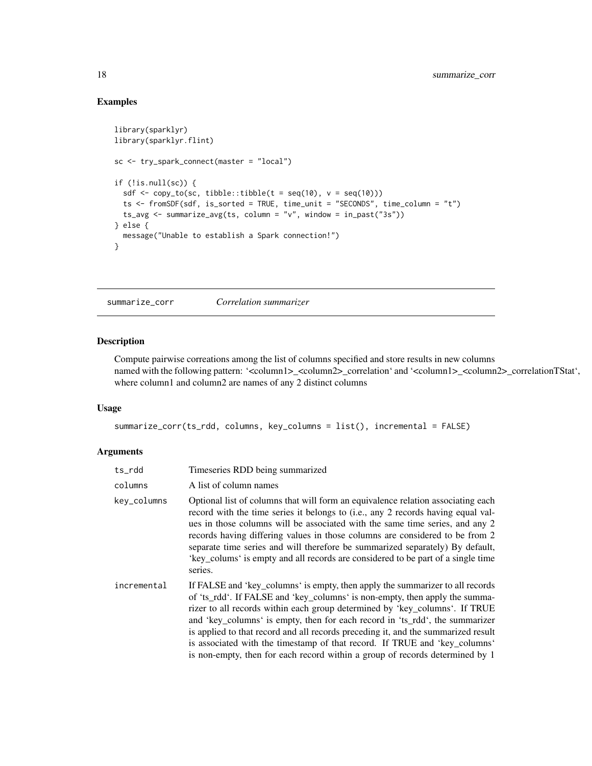## Examples

```
library(sparklyr)
library(sparklyr.flint)
sc <- try_spark_connect(master = "local")
if (!is.null(sc)) {
  sdf \leftarrow copy_to(sc, tibble::tibble(t = seq(10), v = seq(10)))ts <- fromSDF(sdf, is_sorted = TRUE, time_unit = "SECONDS", time_column = "t")
  ts_avg <- summarize_avg(ts, column = "v", window = in_past("3s"))
} else {
  message("Unable to establish a Spark connection!")
}
```
<span id="page-17-1"></span>summarize\_corr *Correlation summarizer*

## Description

Compute pairwise correations among the list of columns specified and store results in new columns named with the following pattern: '<column1>\_<column2>\_correlation' and '<column1>\_<column2>\_correlationTStat', where column1 and column2 are names of any 2 distinct columns

#### Usage

```
summarize_corr(ts_rdd, columns, key_columns = list(), incremental = FALSE)
```

| ts_rdd      | Timeseries RDD being summarized                                                                                                                                                                                                                                                                                                                                                                                                                                                                                                                                                |
|-------------|--------------------------------------------------------------------------------------------------------------------------------------------------------------------------------------------------------------------------------------------------------------------------------------------------------------------------------------------------------------------------------------------------------------------------------------------------------------------------------------------------------------------------------------------------------------------------------|
| columns     | A list of column names                                                                                                                                                                                                                                                                                                                                                                                                                                                                                                                                                         |
| key_columns | Optional list of columns that will form an equivalence relation associating each<br>record with the time series it belongs to (i.e., any 2 records having equal val-<br>ues in those columns will be associated with the same time series, and any 2<br>records having differing values in those columns are considered to be from 2<br>separate time series and will therefore be summarized separately) By default,<br>'key_colums' is empty and all records are considered to be part of a single time<br>series.                                                           |
| incremental | If FALSE and 'key_columns' is empty, then apply the summarizer to all records<br>of 'ts_rdd'. If FALSE and 'key_columns' is non-empty, then apply the summa-<br>rizer to all records within each group determined by 'key_columns'. If TRUE<br>and 'key_columns' is empty, then for each record in 'ts_rdd', the summarizer<br>is applied to that record and all records preceding it, and the summarized result<br>is associated with the timestamp of that record. If TRUE and 'key_columns'<br>is non-empty, then for each record within a group of records determined by 1 |

<span id="page-17-0"></span>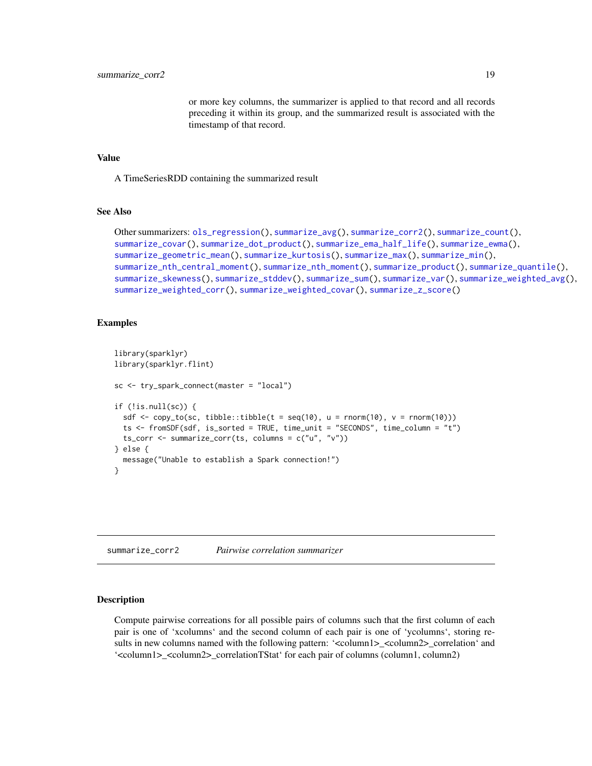or more key columns, the summarizer is applied to that record and all records preceding it within its group, and the summarized result is associated with the timestamp of that record.

#### <span id="page-18-0"></span>Value

A TimeSeriesRDD containing the summarized result

## See Also

```
Other summarizers: ols_regression(), summarize_avg(), summarize_corr2(), summarize_count(),
summarize_covar(), summarize_dot_product(), summarize_ema_half_life(), summarize_ewma(),
summarize_geometric_mean(), summarize_kurtosis(), summarize_max(), summarize_min(),
summarize_nth_central_moment(), summarize_nth_moment(), summarize_product(), summarize_quantile(),
summarize_skewness(), summarize_stddev(), summarize_sum(), summarize_var(), summarize_weighted_avg(),
summarize_weighted_corr(), summarize_weighted_covar(), summarize_z_score()
```
## Examples

```
library(sparklyr)
library(sparklyr.flint)
sc <- try_spark_connect(master = "local")
if (!is.null(sc)) {
 sdf \leq copy_to(sc, tibble::tibble(t = seq(10), u = rnorm(10), v = rnorm(10)))
 ts <- fromSDF(sdf, is_sorted = TRUE, time_unit = "SECONDS", time_column = "t")
 ts_corr <- summarize_corr(ts, columns = c("u", "v"))
} else {
 message("Unable to establish a Spark connection!")
}
```
<span id="page-18-1"></span>summarize\_corr2 *Pairwise correlation summarizer*

## Description

Compute pairwise correations for all possible pairs of columns such that the first column of each pair is one of 'xcolumns' and the second column of each pair is one of 'ycolumns', storing results in new columns named with the following pattern: '<column1>\_<column2>\_correlation' and '<column1>\_<column2>\_correlationTStat' for each pair of columns (column1, column2)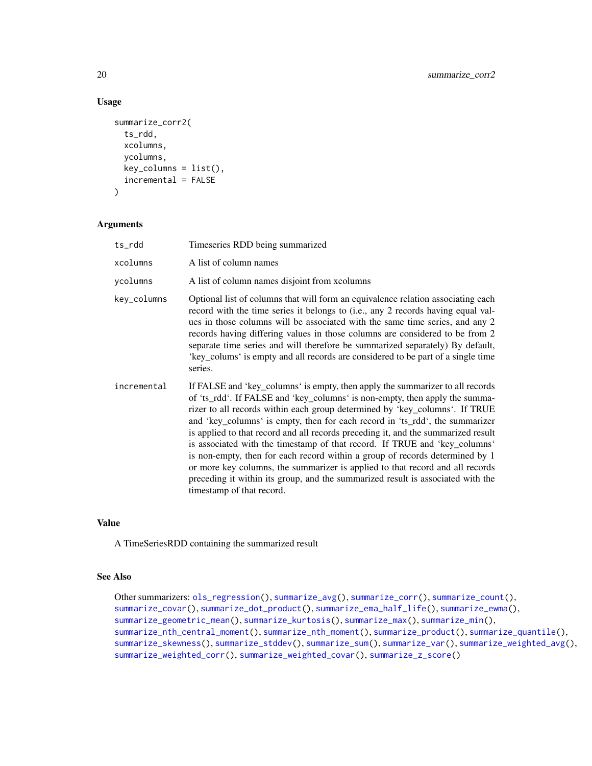## Usage

```
summarize_corr2(
  ts_rdd,
  xcolumns,
  ycolumns,
  key_columns = list(),
  incremental = FALSE
\lambda
```
## Arguments

| ts_rdd      | Timeseries RDD being summarized                                                                                                                                                                                                                                                                                                                                                                                                                                                                                                                                                                                                                                                                                                                                                 |
|-------------|---------------------------------------------------------------------------------------------------------------------------------------------------------------------------------------------------------------------------------------------------------------------------------------------------------------------------------------------------------------------------------------------------------------------------------------------------------------------------------------------------------------------------------------------------------------------------------------------------------------------------------------------------------------------------------------------------------------------------------------------------------------------------------|
| xcolumns    | A list of column names                                                                                                                                                                                                                                                                                                                                                                                                                                                                                                                                                                                                                                                                                                                                                          |
| vcolumns    | A list of column names disjoint from xcolumns                                                                                                                                                                                                                                                                                                                                                                                                                                                                                                                                                                                                                                                                                                                                   |
| key_columns | Optional list of columns that will form an equivalence relation associating each<br>record with the time series it belongs to (i.e., any 2 records having equal val-<br>ues in those columns will be associated with the same time series, and any 2<br>records having differing values in those columns are considered to be from 2<br>separate time series and will therefore be summarized separately) By default,<br>'key_colums' is empty and all records are considered to be part of a single time<br>series.                                                                                                                                                                                                                                                            |
| incremental | If FALSE and 'key_columns' is empty, then apply the summarizer to all records<br>of 'ts_rdd'. If FALSE and 'key_columns' is non-empty, then apply the summa-<br>rizer to all records within each group determined by 'key_columns'. If TRUE<br>and 'key_columns' is empty, then for each record in 'ts_rdd', the summarizer<br>is applied to that record and all records preceding it, and the summarized result<br>is associated with the timestamp of that record. If TRUE and 'key_columns'<br>is non-empty, then for each record within a group of records determined by 1<br>or more key columns, the summarizer is applied to that record and all records<br>preceding it within its group, and the summarized result is associated with the<br>timestamp of that record. |

#### Value

A TimeSeriesRDD containing the summarized result

## See Also

```
Other summarizers: ols_regression(), summarize_avg(), summarize_corr(), summarize_count(),
summarize_covar(), summarize_dot_product(), summarize_ema_half_life(), summarize_ewma(),
summarize_geometric_mean(), summarize_kurtosis(), summarize_max(), summarize_min(),
summarize_nth_central_moment(), summarize_nth_moment(), summarize_product(), summarize_quantile(),
summarize_skewness(), summarize_stddev(), summarize_sum(), summarize_var(), summarize_weighted_avg(),
summarize_weighted_corr(), summarize_weighted_covar(), summarize_z_score()
```
<span id="page-19-0"></span>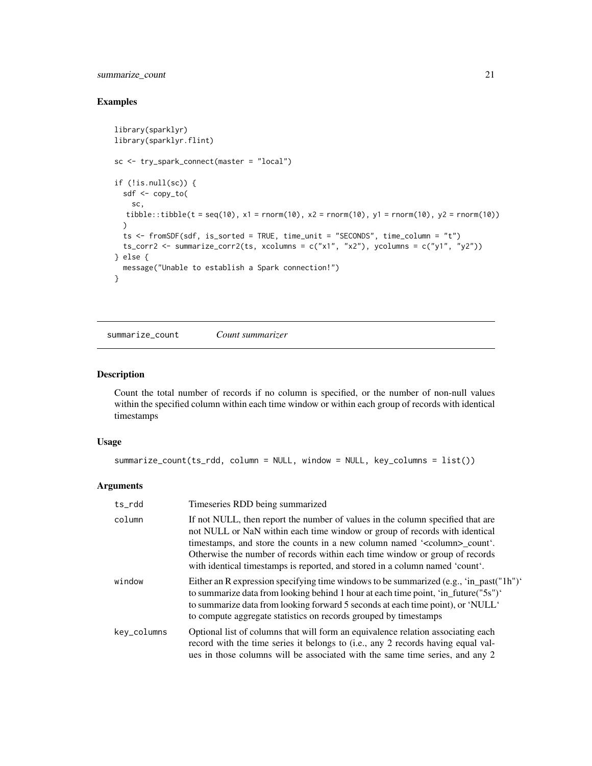## <span id="page-20-0"></span>summarize\_count 21

## Examples

```
library(sparklyr)
library(sparklyr.flint)
sc <- try_spark_connect(master = "local")
if (!is.null(sc)) {
  sdf <- copy_to(
    sc,
  tibble::tibble(t = seq(10), x1 = rnorm(10), x2 = rnorm(10), y1 = rnorm(10), y2 = rnorm(10))
  \lambdats <- fromSDF(sdf, is_sorted = TRUE, time_unit = "SECONDS", time_column = "t")
  ts_corr2 <- summarize_corr2(ts, xcolumns = c("x1", "x2"), ycolumns = c("y1", "y2"))
} else {
  message("Unable to establish a Spark connection!")
}
```
<span id="page-20-1"></span>summarize\_count *Count summarizer*

#### Description

Count the total number of records if no column is specified, or the number of non-null values within the specified column within each time window or within each group of records with identical timestamps

#### Usage

```
summarize_count(ts_rdd, column = NULL, window = NULL, key_columns = list())
```

| ts_rdd      | Timeseries RDD being summarized                                                                                                                                                                                                                                                                                                                                                                                     |
|-------------|---------------------------------------------------------------------------------------------------------------------------------------------------------------------------------------------------------------------------------------------------------------------------------------------------------------------------------------------------------------------------------------------------------------------|
| column      | If not NULL, then report the number of values in the column specified that are<br>not NULL or NaN within each time window or group of records with identical<br>timestamps, and store the counts in a new column named ' <column>_count'.<br/>Otherwise the number of records within each time window or group of records<br/>with identical timestamps is reported, and stored in a column named 'count'.</column> |
| window      | Either an R expression specifying time windows to be summarized (e.g., 'in_past("1h")'<br>to summarize data from looking behind 1 hour at each time point, 'in_future("5s")'<br>to summarize data from looking forward 5 seconds at each time point), or 'NULL'<br>to compute aggregate statistics on records grouped by timestamps                                                                                 |
| key_columns | Optional list of columns that will form an equivalence relation associating each<br>record with the time series it belongs to (i.e., any 2 records having equal val-<br>ues in those columns will be associated with the same time series, and any 2                                                                                                                                                                |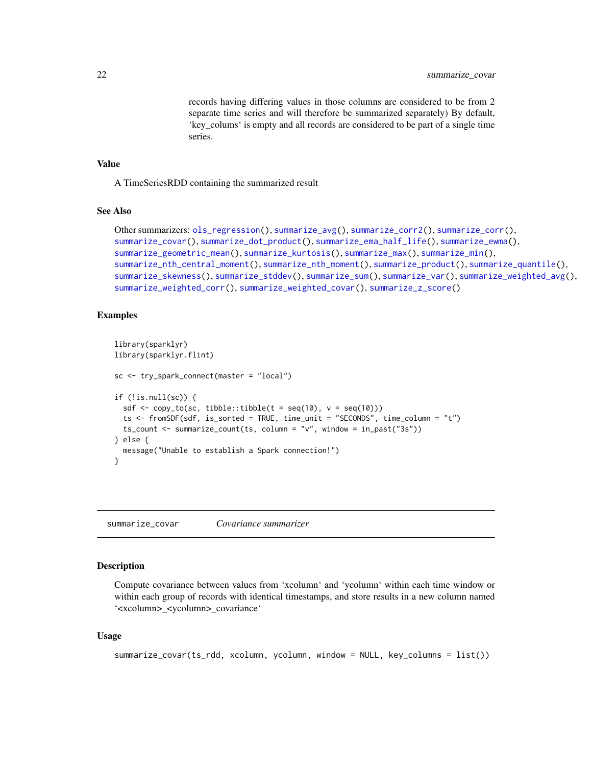records having differing values in those columns are considered to be from 2 separate time series and will therefore be summarized separately) By default, 'key\_colums' is empty and all records are considered to be part of a single time series.

## <span id="page-21-0"></span>Value

A TimeSeriesRDD containing the summarized result

## See Also

```
Other summarizers: ols_regression(), summarize_avg(), summarize_corr2(), summarize_corr(),
summarize_covar(), summarize_dot_product(), summarize_ema_half_life(), summarize_ewma(),
summarize_geometric_mean(), summarize_kurtosis(), summarize_max(), summarize_min(),
summarize_nth_central_moment(), summarize_nth_moment(), summarize_product(), summarize_quantile(),
summarize_skewness(), summarize_stddev(), summarize_sum(), summarize_var(), summarize_weighted_avg(),
summarize_weighted_corr(), summarize_weighted_covar(), summarize_z_score()
```
## Examples

```
library(sparklyr)
library(sparklyr.flint)
sc <- try_spark_connect(master = "local")
if (!is.null(sc)) {
 sdf \leq copy_to(sc, tibble::tibble(t = seq(10), v = \text{seq}(10)))
  ts <- fromSDF(sdf, is_sorted = TRUE, time_unit = "SECONDS", time_column = "t")
  ts_count <- summarize_count(ts, column = "v", window = in_past("3s"))
} else {
 message("Unable to establish a Spark connection!")
}
```
<span id="page-21-1"></span>summarize\_covar *Covariance summarizer*

#### **Description**

Compute covariance between values from 'xcolumn' and 'ycolumn' within each time window or within each group of records with identical timestamps, and store results in a new column named '<xcolumn>\_<ycolumn>\_covariance'

#### Usage

```
summarize_covar(ts_rdd, xcolumn, ycolumn, window = NULL, key_columns = list())
```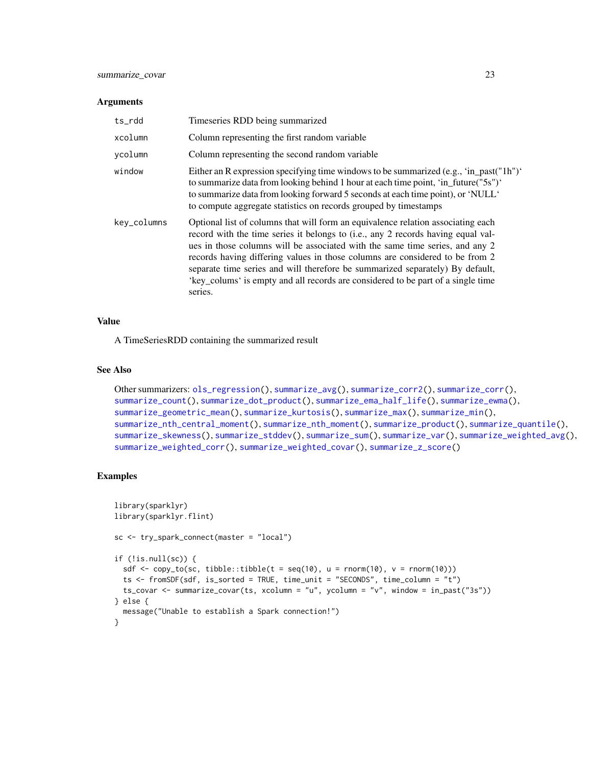#### <span id="page-22-0"></span>**Arguments**

| ts rdd      | Timeseries RDD being summarized                                                                                                                                                                                                                                                                                                                                                                                                                                                                                      |
|-------------|----------------------------------------------------------------------------------------------------------------------------------------------------------------------------------------------------------------------------------------------------------------------------------------------------------------------------------------------------------------------------------------------------------------------------------------------------------------------------------------------------------------------|
| xcolumn     | Column representing the first random variable                                                                                                                                                                                                                                                                                                                                                                                                                                                                        |
| ycolumn     | Column representing the second random variable                                                                                                                                                                                                                                                                                                                                                                                                                                                                       |
| window      | Either an R expression specifying time windows to be summarized (e.g., 'in_past("1h")'<br>to summarize data from looking behind 1 hour at each time point, 'in_future("5s")'<br>to summarize data from looking forward 5 seconds at each time point), or 'NULL'<br>to compute aggregate statistics on records grouped by timestamps                                                                                                                                                                                  |
| key_columns | Optional list of columns that will form an equivalence relation associating each<br>record with the time series it belongs to (i.e., any 2 records having equal val-<br>ues in those columns will be associated with the same time series, and any 2<br>records having differing values in those columns are considered to be from 2<br>separate time series and will therefore be summarized separately) By default,<br>'key_colums' is empty and all records are considered to be part of a single time<br>series. |

#### Value

A TimeSeriesRDD containing the summarized result

#### See Also

```
Other summarizers: ols_regression(), summarize_avg(), summarize_corr2(), summarize_corr(),
summarize_count(), summarize_dot_product(), summarize_ema_half_life(), summarize_ewma(),
summarize_geometric_mean(), summarize_kurtosis(), summarize_max(), summarize_min(),
summarize_nth_central_moment(), summarize_nth_moment(), summarize_product(), summarize_quantile(),
summarize_skewness(), summarize_stddev(), summarize_sum(), summarize_var(), summarize_weighted_avg(),
summarize_weighted_corr(), summarize_weighted_covar(), summarize_z_score()
```

```
library(sparklyr)
library(sparklyr.flint)
sc <- try_spark_connect(master = "local")
if (!is.null(sc)) {
  sdf \leq copy_to(sc, tibble::tibble(t = seq(10), u = rnorm(10), v = rnorm(10)))
  ts <- fromSDF(sdf, is_sorted = TRUE, time_unit = "SECONDS", time_column = "t")
  ts_covar <- summarize_covar(ts, xcolumn = "u", ycolumn = "v", window = in_past("3s"))
} else {
  message("Unable to establish a Spark connection!")
}
```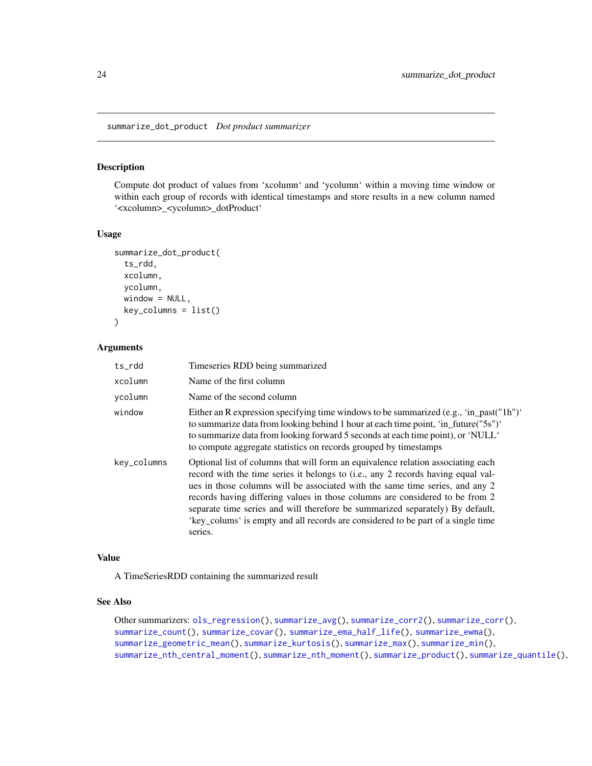<span id="page-23-1"></span><span id="page-23-0"></span>summarize\_dot\_product *Dot product summarizer*

## Description

Compute dot product of values from 'xcolumn' and 'ycolumn' within a moving time window or within each group of records with identical timestamps and store results in a new column named '<xcolumn>\_<ycolumn>\_dotProduct'

## Usage

```
summarize_dot_product(
 ts_rdd,
  xcolumn,
 ycolumn,
 window = NULL,key_columns = list()
\lambda
```
#### Arguments

| ts_rdd      | Timeseries RDD being summarized                                                                                                                                                                                                                                                                                                                                                                                                                                                                                      |
|-------------|----------------------------------------------------------------------------------------------------------------------------------------------------------------------------------------------------------------------------------------------------------------------------------------------------------------------------------------------------------------------------------------------------------------------------------------------------------------------------------------------------------------------|
| xcolumn     | Name of the first column                                                                                                                                                                                                                                                                                                                                                                                                                                                                                             |
| vcolumn     | Name of the second column                                                                                                                                                                                                                                                                                                                                                                                                                                                                                            |
| window      | Either an R expression specifying time windows to be summarized (e.g., 'in_past("1h")'<br>to summarize data from looking behind 1 hour at each time point, 'in_future("5s")'<br>to summarize data from looking forward 5 seconds at each time point), or 'NULL'<br>to compute aggregate statistics on records grouped by timestamps                                                                                                                                                                                  |
| key_columns | Optional list of columns that will form an equivalence relation associating each<br>record with the time series it belongs to (i.e., any 2 records having equal val-<br>ues in those columns will be associated with the same time series, and any 2<br>records having differing values in those columns are considered to be from 2<br>separate time series and will therefore be summarized separately) By default,<br>'key_colums' is empty and all records are considered to be part of a single time<br>series. |

## Value

A TimeSeriesRDD containing the summarized result

## See Also

Other summarizers: [ols\\_regression\(](#page-10-1)), [summarize\\_avg\(](#page-16-1)), [summarize\\_corr2\(](#page-18-1)), [summarize\\_corr\(](#page-17-1)), [summarize\\_count\(](#page-20-1)), [summarize\\_covar\(](#page-21-1)), [summarize\\_ema\\_half\\_life\(](#page-24-1)), [summarize\\_ewma\(](#page-26-1)), [summarize\\_geometric\\_mean\(](#page-28-1)), [summarize\\_kurtosis\(](#page-29-1)), [summarize\\_max\(](#page-30-1)), [summarize\\_min\(](#page-32-1)), [summarize\\_nth\\_central\\_moment\(](#page-33-1)), [summarize\\_nth\\_moment\(](#page-34-1)), [summarize\\_product\(](#page-36-1)), [summarize\\_quantile\(](#page-37-1)),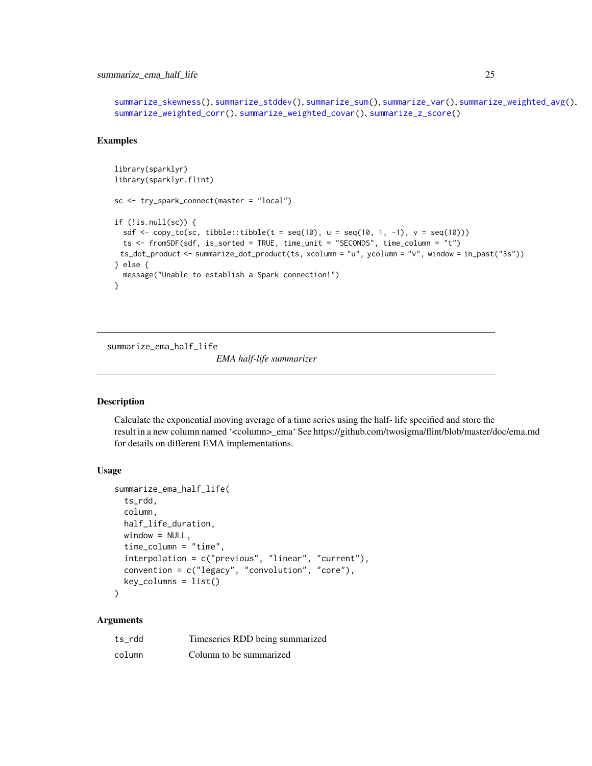## <span id="page-24-0"></span>summarize\_ema\_half\_life 25

```
summarize_skewness(), summarize_stddev(), summarize_sum(), summarize_var(), summarize_weighted_avg(),
summarize_weighted_corr(), summarize_weighted_covar(), summarize_z_score()
```
#### Examples

```
library(sparklyr)
library(sparklyr.flint)
sc <- try_spark_connect(master = "local")
if (!is.null(sc)) {
 sdf \leq copy_to(sc, tibble::tibble(t = seq(10), u = seq(10, 1, -1), v = seq(10)))
 ts <- fromSDF(sdf, is_sorted = TRUE, time_unit = "SECONDS", time_column = "t")
 ts_dot_product <- summarize_dot_product(ts, xcolumn = "u", ycolumn = "v", window = in_past("3s"))
} else {
 message("Unable to establish a Spark connection!")
}
```
<span id="page-24-1"></span>summarize\_ema\_half\_life

*EMA half-life summarizer*

#### Description

Calculate the exponential moving average of a time series using the half- life specified and store the result in a new column named '<column>\_ema' See https://github.com/twosigma/flint/blob/master/doc/ema.md for details on different EMA implementations.

#### Usage

```
summarize_ema_half_life(
  ts_rdd,
  column,
  half_life_duration,
 window = NULL,time_column = "time",
  interpolation = c("previous", "linear", "current"),
  convention = c("legacy", "convolution", "core"),
  key\_columns = list())
```

| ts rdd | Timeseries RDD being summarized |
|--------|---------------------------------|
| column | Column to be summarized         |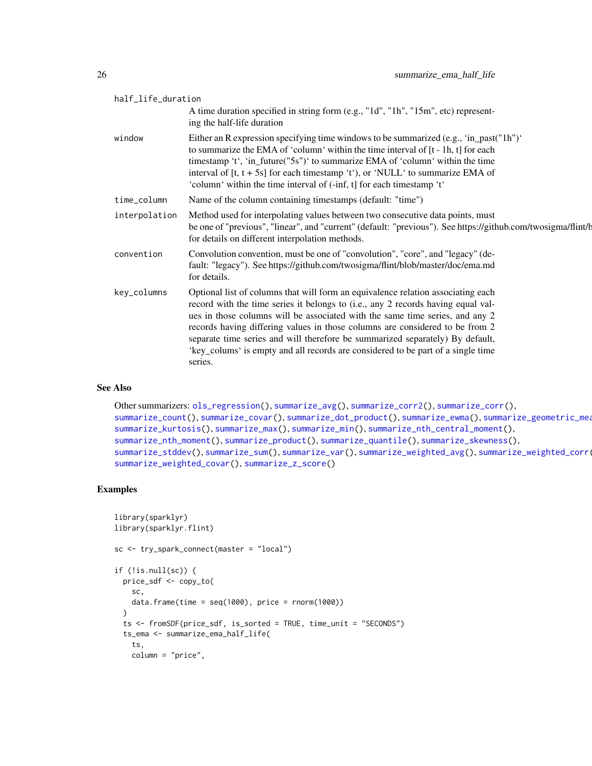<span id="page-25-0"></span>

| half_life_duration |                                                                                                                                                                                                                                                                                                                                                                                                                                                                                                                      |  |
|--------------------|----------------------------------------------------------------------------------------------------------------------------------------------------------------------------------------------------------------------------------------------------------------------------------------------------------------------------------------------------------------------------------------------------------------------------------------------------------------------------------------------------------------------|--|
|                    | A time duration specified in string form (e.g., "1d", "1h", "15m", etc) represent-<br>ing the half-life duration                                                                                                                                                                                                                                                                                                                                                                                                     |  |
| window             | Either an R expression specifying time windows to be summarized (e.g., 'in_past("1h")'<br>to summarize the EMA of 'column' within the time interval of [t - 1h, t] for each<br>timestamp 't', 'in_future("5s")' to summarize EMA of 'column' within the time<br>interval of $[t, t + 5s]$ for each timestamp 't'), or 'NULL' to summarize EMA of<br>'column' within the time interval of (-inf, t] for each timestamp 't'                                                                                            |  |
| time_column        | Name of the column containing timestamps (default: "time")                                                                                                                                                                                                                                                                                                                                                                                                                                                           |  |
| interpolation      | Method used for interpolating values between two consecutive data points, must<br>be one of "previous", "linear", and "current" (default: "previous"). See https://github.com/twosigma/flint/b<br>for details on different interpolation methods.                                                                                                                                                                                                                                                                    |  |
| convention         | Convolution convention, must be one of "convolution", "core", and "legacy" (de-<br>fault: "legacy"). See https://github.com/twosigma/flint/blob/master/doc/ema.md<br>for details.                                                                                                                                                                                                                                                                                                                                    |  |
| key_columns        | Optional list of columns that will form an equivalence relation associating each<br>record with the time series it belongs to (i.e., any 2 records having equal val-<br>ues in those columns will be associated with the same time series, and any 2<br>records having differing values in those columns are considered to be from 2<br>separate time series and will therefore be summarized separately) By default,<br>'key_colums' is empty and all records are considered to be part of a single time<br>series. |  |

#### See Also

```
Other summarizers: ols_regression(), summarize_avg(), summarize_corr2(), summarize_corr(),
summarize_count(), summarize_covar(), summarize_dot_product(), summarize_ewma(), summarize_geometric_mean(),
summarize_kurtosis(), summarize_max(), summarize_min(), summarize_nth_central_moment(),
summarize_nth_moment(), summarize_product(), summarize_quantile(), summarize_skewness(),
summarize_stddev(), summarize_sum(), summarize_var(), summarize_weighted_avg(), summarize_weighted_corr(),
summarize_weighted_covar(), summarize_z_score()
```

```
library(sparklyr)
library(sparklyr.flint)
sc <- try_spark_connect(master = "local")
if (!is.null(sc)) {
  price_sdf <- copy_to(
   sc,
    data.frame(time = seq(1000), price = rnorm(1000))
  )
  ts <- fromSDF(price_sdf, is_sorted = TRUE, time_unit = "SECONDS")
  ts_ema <- summarize_ema_half_life(
   ts,
   column = "price",
```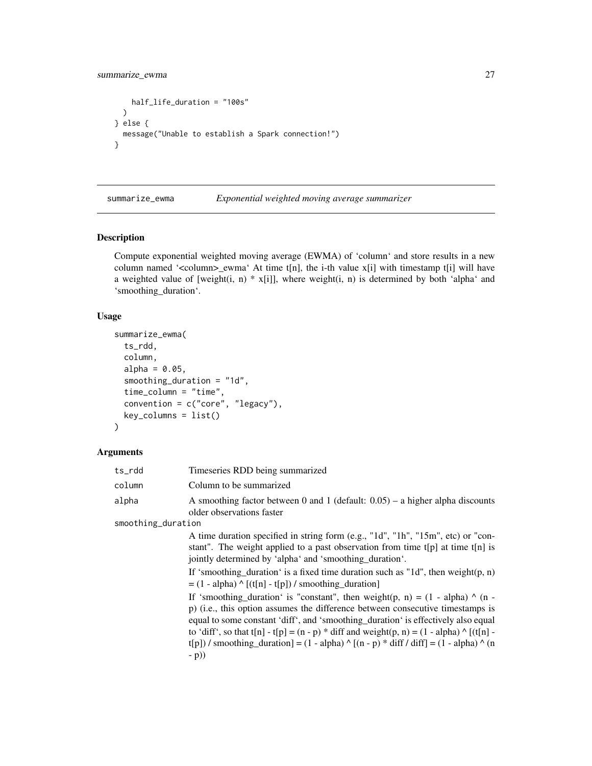```
half_life_duration = "100s"
 )
} else {
 message("Unable to establish a Spark connection!")
}
```
<span id="page-26-1"></span>summarize\_ewma *Exponential weighted moving average summarizer*

#### Description

Compute exponential weighted moving average (EWMA) of 'column' and store results in a new column named ' $\ll$ column> ewma' At time t[n], the i-th value x[i] with timestamp t[i] will have a weighted value of [weight(i, n)  $*$  x[i]], where weight(i, n) is determined by both 'alpha' and 'smoothing\_duration'.

## Usage

```
summarize_ewma(
  ts_rdd,
  column,
  alpha = 0.05,
  smoothing_duration = "1d",
  time_column = "time",
  convention = c("core", "legacy"),
  key_columns = list()
)
```
#### Arguments

| ts rdd | Timeseries RDD being summarized                                                                               |
|--------|---------------------------------------------------------------------------------------------------------------|
| column | Column to be summarized                                                                                       |
| alpha  | A smoothing factor between 0 and 1 (default: $0.05$ ) – a higher alpha discounts<br>older observations faster |

smoothing\_duration

A time duration specified in string form (e.g., "1d", "1h", "15m", etc) or "constant". The weight applied to a past observation from time t[p] at time t[n] is jointly determined by 'alpha' and 'smoothing\_duration'.

If 'smoothing\_duration' is a fixed time duration such as "1d", then weight(p, n)  $= (1 - alpha) \wedge [(t[n] - t[p]) / smoothing_duration]$ 

If 'smoothing duration' is "constant", then weight(p, n) =  $(1 - alpha)$  ^ (n p) (i.e., this option assumes the difference between consecutive timestamps is equal to some constant 'diff', and 'smoothing\_duration' is effectively also equal to 'diff', so that t[n] - t[p] =  $(n - p)$  \* diff and weight $(p, n) = (1 - alpha)$  ^ [ $(t[n]$ t[p]) / smoothing\_duration] =  $(1 - alpha) \wedge [(n - p) * diff / diff] = (1 - alpha) \wedge (n$ - p))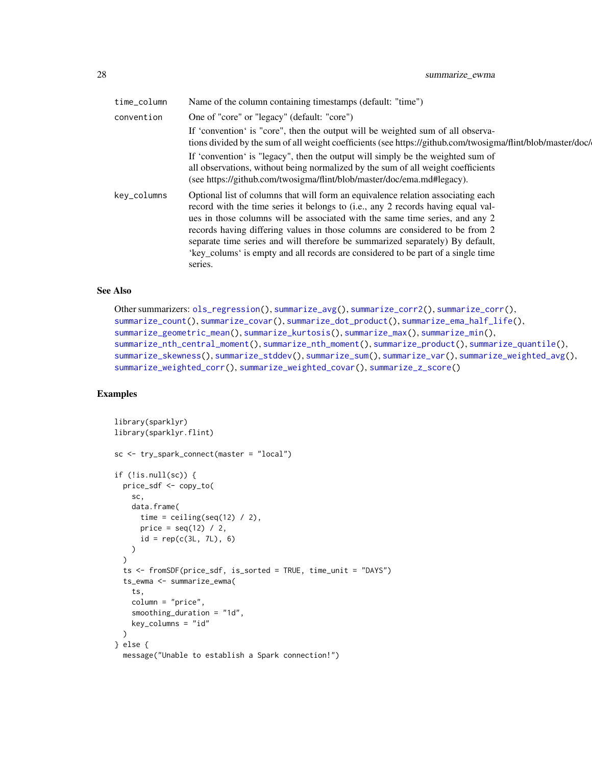<span id="page-27-0"></span>

| time_column | Name of the column containing timestamps (default: "time")                                                                                                                                                                                                                                                                                                                                                                                                                                                           |
|-------------|----------------------------------------------------------------------------------------------------------------------------------------------------------------------------------------------------------------------------------------------------------------------------------------------------------------------------------------------------------------------------------------------------------------------------------------------------------------------------------------------------------------------|
| convention  | One of "core" or "legacy" (default: "core")                                                                                                                                                                                                                                                                                                                                                                                                                                                                          |
|             | If 'convention' is "core", then the output will be weighted sum of all observa-<br>tions divided by the sum of all weight coefficients (see https://github.com/twosigma/flint/blob/master/doc/                                                                                                                                                                                                                                                                                                                       |
|             | If 'convention' is "legacy", then the output will simply be the weighted sum of<br>all observations, without being normalized by the sum of all weight coefficients<br>(see https://github.com/twosigma/flint/blob/master/doc/ema.md#legacy).                                                                                                                                                                                                                                                                        |
| key_columns | Optional list of columns that will form an equivalence relation associating each<br>record with the time series it belongs to (i.e., any 2 records having equal val-<br>ues in those columns will be associated with the same time series, and any 2<br>records having differing values in those columns are considered to be from 2<br>separate time series and will therefore be summarized separately) By default,<br>'key_colums' is empty and all records are considered to be part of a single time<br>series. |

## See Also

```
Other summarizers: ols_regression(), summarize_avg(), summarize_corr2(), summarize_corr(),
summarize_count(), summarize_covar(), summarize_dot_product(), summarize_ema_half_life(),
summarize_geometric_mean(), summarize_kurtosis(), summarize_max(), summarize_min(),
summarize_nth_central_moment(), summarize_nth_moment(), summarize_product(), summarize_quantile(),
summarize_skewness(), summarize_stddev(), summarize_sum(), summarize_var(), summarize_weighted_avg(),
summarize_weighted_corr(), summarize_weighted_covar(), summarize_z_score()
```

```
library(sparklyr)
library(sparklyr.flint)
sc <- try_spark_connect(master = "local")
if (!is.null(sc)) {
  price_sdf <- copy_to(
   sc,
   data.frame(
     time = ceiling(seq(12) / 2),
     price = seq(12) / 2,
     id = rep(c(3L, 7L), 6))
  \mathcal{L}ts <- fromSDF(price_sdf, is_sorted = TRUE, time_unit = "DAYS")
  ts_ewma <- summarize_ewma(
   ts,
   column = "price",
    smoothing_duration = "1d",
   key_columns = "id"
  )
} else {
  message("Unable to establish a Spark connection!")
```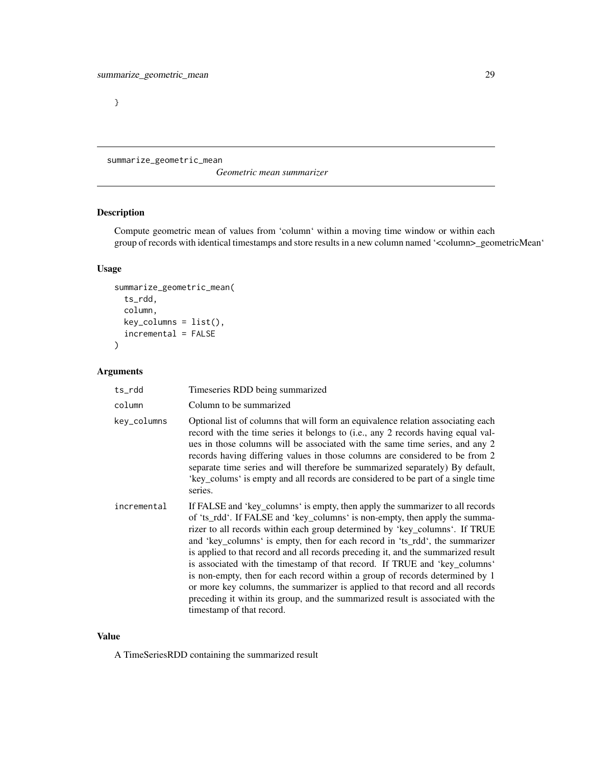<span id="page-28-0"></span>}

<span id="page-28-1"></span>summarize\_geometric\_mean

*Geometric mean summarizer*

## Description

Compute geometric mean of values from 'column' within a moving time window or within each group of records with identical timestamps and store results in a new column named '<column>\_geometricMean'

## Usage

```
summarize_geometric_mean(
 ts_rdd,
 column,
 key_columns = list(),
 incremental = FALSE
)
```
## Arguments

| ts_rdd      | Timeseries RDD being summarized                                                                                                                                                                                                                                                                                                                                                                                                                                                                                                                                                                                                                                                                                                                                                 |
|-------------|---------------------------------------------------------------------------------------------------------------------------------------------------------------------------------------------------------------------------------------------------------------------------------------------------------------------------------------------------------------------------------------------------------------------------------------------------------------------------------------------------------------------------------------------------------------------------------------------------------------------------------------------------------------------------------------------------------------------------------------------------------------------------------|
| column      | Column to be summarized                                                                                                                                                                                                                                                                                                                                                                                                                                                                                                                                                                                                                                                                                                                                                         |
| key_columns | Optional list of columns that will form an equivalence relation associating each<br>record with the time series it belongs to (i.e., any 2 records having equal val-<br>ues in those columns will be associated with the same time series, and any 2<br>records having differing values in those columns are considered to be from 2<br>separate time series and will therefore be summarized separately) By default,<br>'key_colums' is empty and all records are considered to be part of a single time<br>series.                                                                                                                                                                                                                                                            |
| incremental | If FALSE and 'key_columns' is empty, then apply the summarizer to all records<br>of 'ts_rdd'. If FALSE and 'key_columns' is non-empty, then apply the summa-<br>rizer to all records within each group determined by 'key_columns'. If TRUE<br>and 'key_columns' is empty, then for each record in 'ts_rdd', the summarizer<br>is applied to that record and all records preceding it, and the summarized result<br>is associated with the timestamp of that record. If TRUE and 'key_columns'<br>is non-empty, then for each record within a group of records determined by 1<br>or more key columns, the summarizer is applied to that record and all records<br>preceding it within its group, and the summarized result is associated with the<br>timestamp of that record. |

## Value

A TimeSeriesRDD containing the summarized result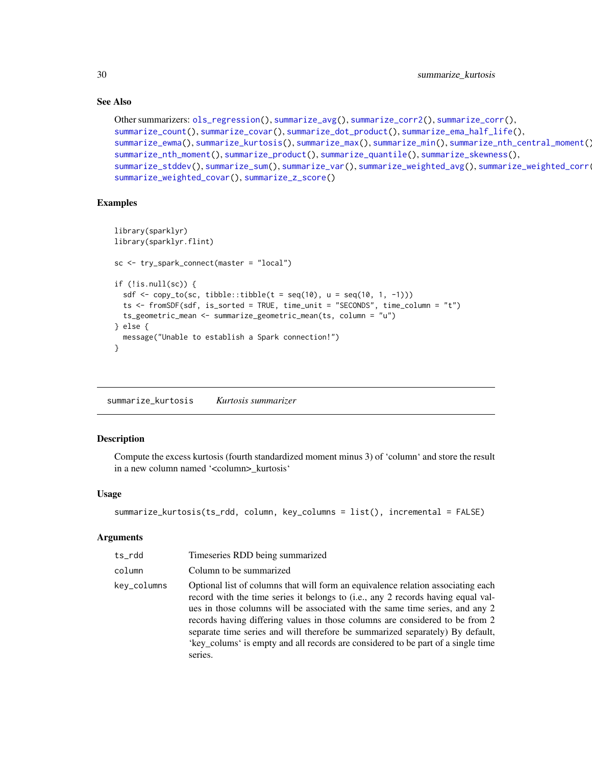## See Also

```
Other summarizers: ols_regression(), summarize_avg(), summarize_corr2(), summarize_corr(),
summarize_count(), summarize_covar(), summarize_dot_product(), summarize_ema_half_life(),
summarize_ewma(), summarize_kurtosis(), summarize_max(), summarize_min(), summarize_nth_central_moment(),
summarize_nth_moment(), summarize_product(), summarize_quantile(), summarize_skewness(),
summarize_stddev(), summarize_sum(), summarize_var(), summarize_weighted_avg(), summarize_weighted_corr(),
summarize_weighted_covar(), summarize_z_score()
```
## Examples

```
library(sparklyr)
library(sparklyr.flint)
sc <- try_spark_connect(master = "local")
if (!is.null(sc)) {
  sdf \leq copy_to(sc, tibble::tibble(t = seq(10), u = seq(10, 1, -1)))
  ts <- fromSDF(sdf, is_sorted = TRUE, time_unit = "SECONDS", time_column = "t")
  ts_geometric_mean <- summarize_geometric_mean(ts, column = "u")
} else {
  message("Unable to establish a Spark connection!")
}
```
<span id="page-29-1"></span>summarize\_kurtosis *Kurtosis summarizer*

## Description

Compute the excess kurtosis (fourth standardized moment minus 3) of 'column' and store the result in a new column named '<column>\_kurtosis'

## Usage

```
summarize_kurtosis(ts_rdd, column, key_columns = list(), incremental = FALSE)
```

| ts_rdd      | Timeseries RDD being summarized                                                                                                                                                                                                                                                                                                                                                                                                                                                                                      |
|-------------|----------------------------------------------------------------------------------------------------------------------------------------------------------------------------------------------------------------------------------------------------------------------------------------------------------------------------------------------------------------------------------------------------------------------------------------------------------------------------------------------------------------------|
| column      | Column to be summarized                                                                                                                                                                                                                                                                                                                                                                                                                                                                                              |
| kev_columns | Optional list of columns that will form an equivalence relation associating each<br>record with the time series it belongs to (i.e., any 2 records having equal val-<br>ues in those columns will be associated with the same time series, and any 2<br>records having differing values in those columns are considered to be from 2<br>separate time series and will therefore be summarized separately) By default,<br>'key colums' is empty and all records are considered to be part of a single time<br>series. |
|             |                                                                                                                                                                                                                                                                                                                                                                                                                                                                                                                      |

<span id="page-29-0"></span>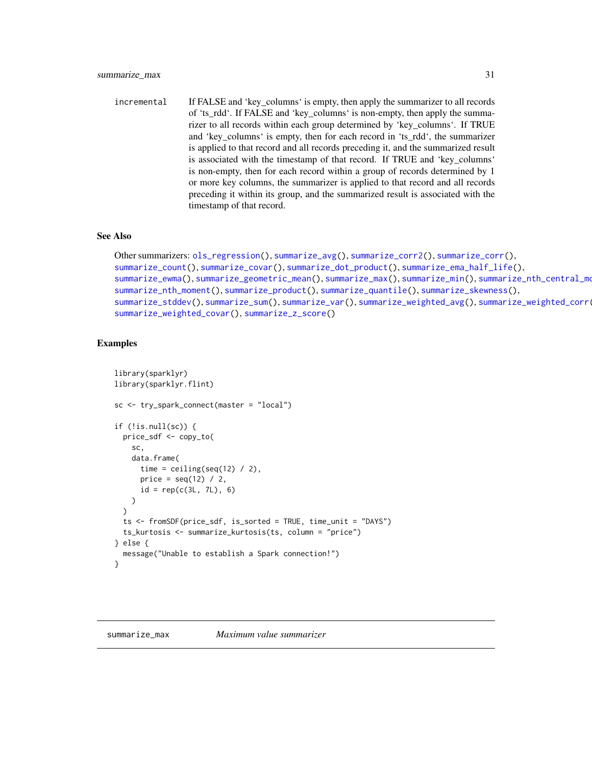<span id="page-30-0"></span>incremental If FALSE and 'key\_columns' is empty, then apply the summarizer to all records of 'ts\_rdd'. If FALSE and 'key\_columns' is non-empty, then apply the summarizer to all records within each group determined by 'key\_columns'. If TRUE and 'key\_columns' is empty, then for each record in 'ts\_rdd', the summarizer is applied to that record and all records preceding it, and the summarized result is associated with the timestamp of that record. If TRUE and 'key\_columns' is non-empty, then for each record within a group of records determined by 1 or more key columns, the summarizer is applied to that record and all records preceding it within its group, and the summarized result is associated with the timestamp of that record.

#### See Also

```
Other summarizers: ols_regression(), summarize_avg(), summarize_corr2(), summarize_corr(),
summarize_count(), summarize_covar(), summarize_dot_product(), summarize_ema_half_life(),
summarize_ewma(summarize_geometric_mean(summarize_max(summarize_min(), summarize_nth_central_mo
summarize_nth_moment(), summarize_product(), summarize_quantile(), summarize_skewness(),
summarize_stddev(summarize_sum(summarize_var(summarize_weighted_avg(summarize_weighted_corr(
summarize_weighted_covar(), summarize_z_score()
```

```
library(sparklyr)
library(sparklyr.flint)
sc <- try_spark_connect(master = "local")
if (!is.null(sc)) {
 price_sdf <- copy_to(
   sc,
   data.frame(
     time = ceiling(seq(12) / 2),
     price = seq(12) / 2,
     id = rep(c(3L, 7L), 6))
 )
 ts <- fromSDF(price_sdf, is_sorted = TRUE, time_unit = "DAYS")
 ts_kurtosis <- summarize_kurtosis(ts, column = "price")
} else {
 message("Unable to establish a Spark connection!")
}
```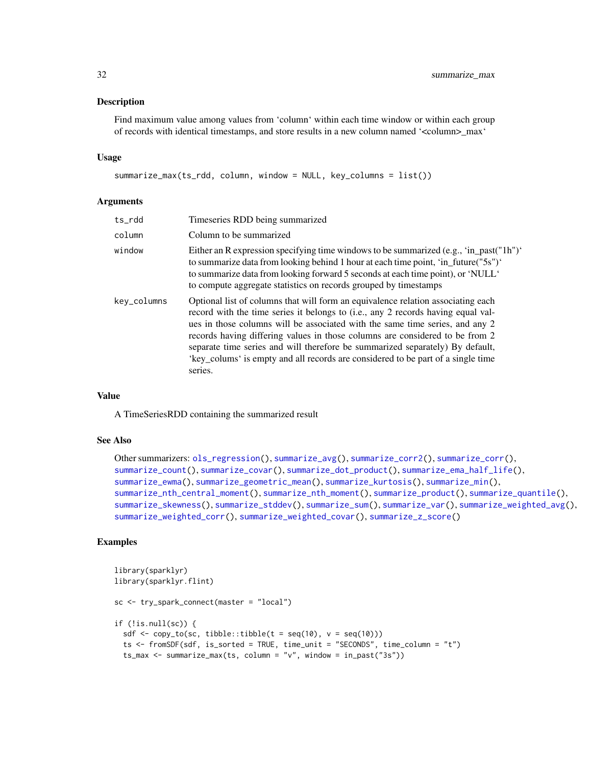#### <span id="page-31-0"></span>Description

Find maximum value among values from 'column' within each time window or within each group of records with identical timestamps, and store results in a new column named '<column>\_max'

#### Usage

```
summarize_max(ts_rdd, column, window = NULL, key_columns = list())
```
#### Arguments

| ts_rdd      | Timeseries RDD being summarized                                                                                                                                                                                                                                                                                                                                                                                                                                                                                      |
|-------------|----------------------------------------------------------------------------------------------------------------------------------------------------------------------------------------------------------------------------------------------------------------------------------------------------------------------------------------------------------------------------------------------------------------------------------------------------------------------------------------------------------------------|
| column      | Column to be summarized                                                                                                                                                                                                                                                                                                                                                                                                                                                                                              |
| window      | Either an R expression specifying time windows to be summarized (e.g., 'in_past("1h")'<br>to summarize data from looking behind 1 hour at each time point, 'in_future("5s")'<br>to summarize data from looking forward 5 seconds at each time point), or 'NULL'<br>to compute aggregate statistics on records grouped by timestamps                                                                                                                                                                                  |
| key_columns | Optional list of columns that will form an equivalence relation associating each<br>record with the time series it belongs to (i.e., any 2 records having equal val-<br>ues in those columns will be associated with the same time series, and any 2<br>records having differing values in those columns are considered to be from 2<br>separate time series and will therefore be summarized separately) By default,<br>'key_colums' is empty and all records are considered to be part of a single time<br>series. |

## Value

A TimeSeriesRDD containing the summarized result

## See Also

```
Other summarizers: ols_regression(), summarize_avg(), summarize_corr2(), summarize_corr(),
summarize_count(), summarize_covar(), summarize_dot_product(), summarize_ema_half_life(),
summarize_ewma(), summarize_geometric_mean(), summarize_kurtosis(), summarize_min(),
summarize_nth_central_moment(), summarize_nth_moment(), summarize_product(), summarize_quantile(),
summarize_skewness(), summarize_stddev(), summarize_sum(), summarize_var(), summarize_weighted_avg(),
summarize_weighted_corr(), summarize_weighted_covar(), summarize_z_score()
```

```
library(sparklyr)
library(sparklyr.flint)
sc <- try_spark_connect(master = "local")
if (!is.null(sc)) {
 sdf <- copy_to(sc, tibble::tibble(t = seq(10), v = seq(10)))
 ts <- fromSDF(sdf, is_sorted = TRUE, time_unit = "SECONDS", time_column = "t")
 ts_max <- summarize_max(ts, column = "v", window = in_past("3s"))
```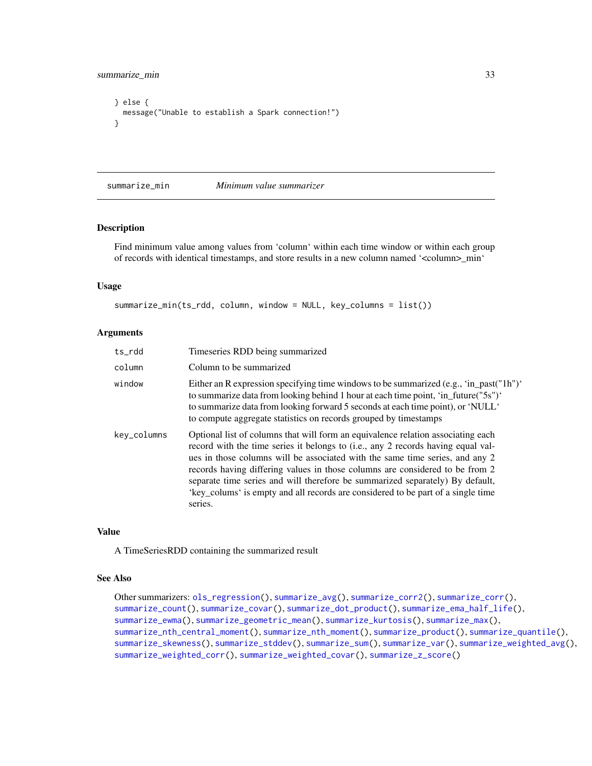<span id="page-32-0"></span>summarize\_min 33

```
} else {
 message("Unable to establish a Spark connection!")
}
```
<span id="page-32-1"></span>summarize\_min *Minimum value summarizer*

## Description

Find minimum value among values from 'column' within each time window or within each group of records with identical timestamps, and store results in a new column named '<column>\_min'

## Usage

```
summarize_min(ts_rdd, column, window = NULL, key_columns = list())
```
#### Arguments

| ts_rdd      | Timeseries RDD being summarized                                                                                                                                                                                                                                                                                                                                                                                                                                                                                      |
|-------------|----------------------------------------------------------------------------------------------------------------------------------------------------------------------------------------------------------------------------------------------------------------------------------------------------------------------------------------------------------------------------------------------------------------------------------------------------------------------------------------------------------------------|
| column      | Column to be summarized                                                                                                                                                                                                                                                                                                                                                                                                                                                                                              |
| window      | Either an R expression specifying time windows to be summarized (e.g., 'in_past("1h")'<br>to summarize data from looking behind 1 hour at each time point, 'in_future("5s")'<br>to summarize data from looking forward 5 seconds at each time point), or 'NULL'<br>to compute aggregate statistics on records grouped by timestamps                                                                                                                                                                                  |
| key_columns | Optional list of columns that will form an equivalence relation associating each<br>record with the time series it belongs to (i.e., any 2 records having equal val-<br>ues in those columns will be associated with the same time series, and any 2<br>records having differing values in those columns are considered to be from 2<br>separate time series and will therefore be summarized separately) By default,<br>'key_colums' is empty and all records are considered to be part of a single time<br>series. |

## Value

A TimeSeriesRDD containing the summarized result

#### See Also

```
Other summarizers: ols_regression(), summarize_avg(), summarize_corr2(), summarize_corr(),
summarize_count(), summarize_covar(), summarize_dot_product(), summarize_ema_half_life(),
summarize_ewma(), summarize_geometric_mean(), summarize_kurtosis(), summarize_max(),
summarize_nth_central_moment(), summarize_nth_moment(), summarize_product(), summarize_quantile(),
summarize_skewness(), summarize_stddev(), summarize_sum(), summarize_var(), summarize_weighted_avg(),
summarize_weighted_corr(), summarize_weighted_covar(), summarize_z_score()
```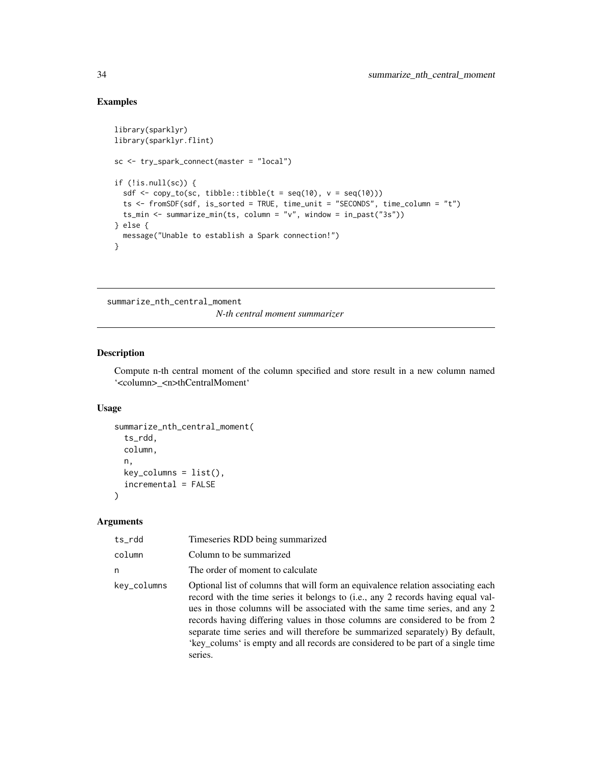## Examples

```
library(sparklyr)
library(sparklyr.flint)
sc <- try_spark_connect(master = "local")
if (!is.null(sc)) {
  sdf \leq copy_to(sc, tibble::tibble(t = seq(10), v = seq(10)))
  ts <- fromSDF(sdf, is_sorted = TRUE, time_unit = "SECONDS", time_column = "t")
  ts_min <- summarize_min(ts, column = "v", window = in_past("3s"))
} else {
  message("Unable to establish a Spark connection!")
}
```
<span id="page-33-1"></span>summarize\_nth\_central\_moment

*N-th central moment summarizer*

## Description

Compute n-th central moment of the column specified and store result in a new column named '<column>\_<n>thCentralMoment'

#### Usage

```
summarize_nth_central_moment(
  ts_rdd,
 column,
 n,
 key_columns = list(),
  incremental = FALSE
)
```

| ts_rdd      | Timeseries RDD being summarized                                                                                                                                                                                                                                                                                                                                                                                                                                                                                      |
|-------------|----------------------------------------------------------------------------------------------------------------------------------------------------------------------------------------------------------------------------------------------------------------------------------------------------------------------------------------------------------------------------------------------------------------------------------------------------------------------------------------------------------------------|
| column      | Column to be summarized                                                                                                                                                                                                                                                                                                                                                                                                                                                                                              |
| n           | The order of moment to calculate                                                                                                                                                                                                                                                                                                                                                                                                                                                                                     |
| kev_columns | Optional list of columns that will form an equivalence relation associating each<br>record with the time series it belongs to (i.e., any 2 records having equal val-<br>ues in those columns will be associated with the same time series, and any 2<br>records having differing values in those columns are considered to be from 2<br>separate time series and will therefore be summarized separately) By default,<br>'key_colums' is empty and all records are considered to be part of a single time<br>series. |

<span id="page-33-0"></span>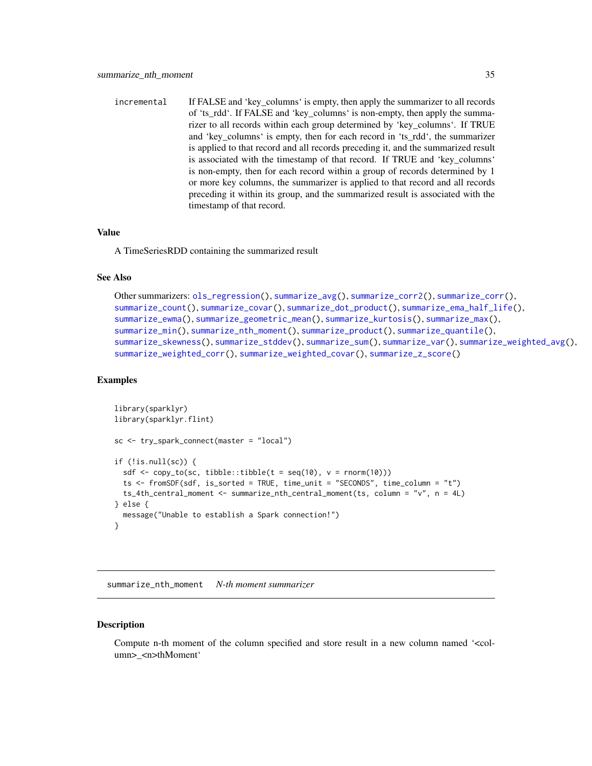<span id="page-34-0"></span>incremental If FALSE and 'key\_columns' is empty, then apply the summarizer to all records of 'ts\_rdd'. If FALSE and 'key\_columns' is non-empty, then apply the summarizer to all records within each group determined by 'key\_columns'. If TRUE and 'key\_columns' is empty, then for each record in 'ts\_rdd', the summarizer is applied to that record and all records preceding it, and the summarized result is associated with the timestamp of that record. If TRUE and 'key\_columns' is non-empty, then for each record within a group of records determined by 1 or more key columns, the summarizer is applied to that record and all records preceding it within its group, and the summarized result is associated with the timestamp of that record.

#### Value

A TimeSeriesRDD containing the summarized result

## See Also

```
Other summarizers: ols_regression(), summarize_avg(), summarize_corr2(), summarize_corr(),
summarize_count(), summarize_covar(), summarize_dot_product(), summarize_ema_half_life(),
summarize_ewma(), summarize_geometric_mean(), summarize_kurtosis(), summarize_max(),
summarize_min(), summarize_nth_moment(), summarize_product(), summarize_quantile(),
summarize_skewness(), summarize_stddev(), summarize_sum(), summarize_var(), summarize_weighted_avg(),
summarize_weighted_corr(), summarize_weighted_covar(), summarize_z_score()
```
## Examples

```
library(sparklyr)
library(sparklyr.flint)
sc <- try_spark_connect(master = "local")
if (!is.null(sc)) {
 sdf \leftarrow copy_to(sc, tibble::tibble(t = seq(10), v = rnorm(10)))ts <- fromSDF(sdf, is_sorted = TRUE, time_unit = "SECONDS", time_column = "t")
 ts_4th_central_moment <- summarize_nth_central_moment(ts, column = "v", n = 4L)
} else {
 message("Unable to establish a Spark connection!")
}
```
<span id="page-34-1"></span>summarize\_nth\_moment *N-th moment summarizer*

#### **Description**

Compute n-th moment of the column specified and store result in a new column named '<column>\_<n>thMoment'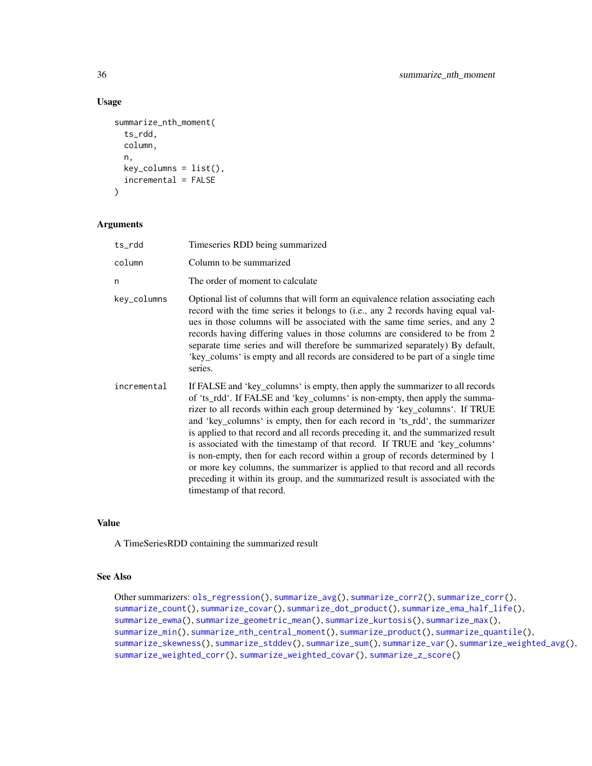## Usage

```
summarize_nth_moment(
  ts_rdd,
  column,
  n,
 key_columns = list(),
  incremental = FALSE
\lambda
```
## Arguments

| ts_rdd      | Timeseries RDD being summarized                                                                                                                                                                                                                                                                                                                                                                                                                                                                                                                                                                                                                                                                                                                                                 |
|-------------|---------------------------------------------------------------------------------------------------------------------------------------------------------------------------------------------------------------------------------------------------------------------------------------------------------------------------------------------------------------------------------------------------------------------------------------------------------------------------------------------------------------------------------------------------------------------------------------------------------------------------------------------------------------------------------------------------------------------------------------------------------------------------------|
| column      | Column to be summarized                                                                                                                                                                                                                                                                                                                                                                                                                                                                                                                                                                                                                                                                                                                                                         |
| n           | The order of moment to calculate                                                                                                                                                                                                                                                                                                                                                                                                                                                                                                                                                                                                                                                                                                                                                |
| key_columns | Optional list of columns that will form an equivalence relation associating each<br>record with the time series it belongs to (i.e., any 2 records having equal val-<br>ues in those columns will be associated with the same time series, and any 2<br>records having differing values in those columns are considered to be from 2<br>separate time series and will therefore be summarized separately) By default,<br>'key_colums' is empty and all records are considered to be part of a single time<br>series.                                                                                                                                                                                                                                                            |
| incremental | If FALSE and 'key_columns' is empty, then apply the summarizer to all records<br>of 'ts_rdd'. If FALSE and 'key_columns' is non-empty, then apply the summa-<br>rizer to all records within each group determined by 'key_columns'. If TRUE<br>and 'key_columns' is empty, then for each record in 'ts_rdd', the summarizer<br>is applied to that record and all records preceding it, and the summarized result<br>is associated with the timestamp of that record. If TRUE and 'key_columns'<br>is non-empty, then for each record within a group of records determined by 1<br>or more key columns, the summarizer is applied to that record and all records<br>preceding it within its group, and the summarized result is associated with the<br>timestamp of that record. |

## Value

A TimeSeriesRDD containing the summarized result

## See Also

```
Other summarizers: ols_regression(), summarize_avg(), summarize_corr2(), summarize_corr(),
summarize_count(), summarize_covar(), summarize_dot_product(), summarize_ema_half_life(),
summarize_ewma(), summarize_geometric_mean(), summarize_kurtosis(), summarize_max(),
summarize_min(), summarize_nth_central_moment(), summarize_product(), summarize_quantile(),
summarize_skewness(), summarize_stddev(), summarize_sum(), summarize_var(), summarize_weighted_avg(),
summarize_weighted_corr(), summarize_weighted_covar(), summarize_z_score()
```
<span id="page-35-0"></span>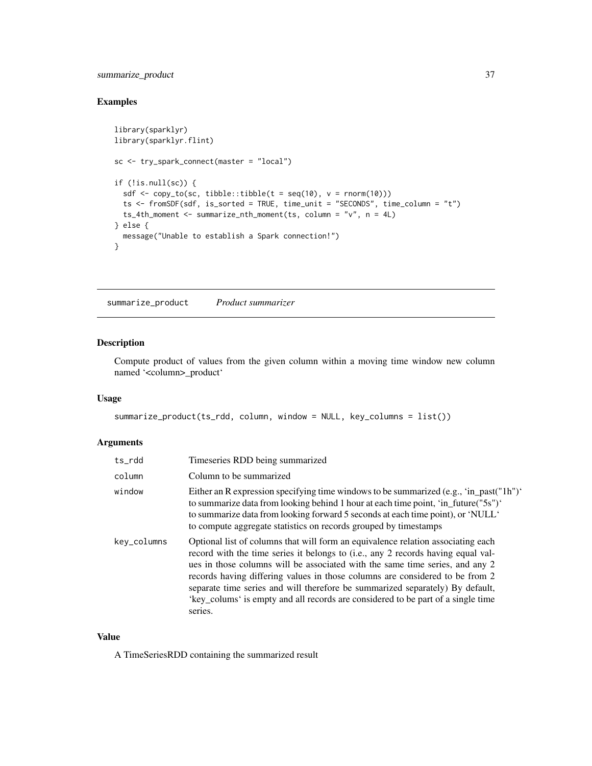## <span id="page-36-0"></span>summarize\_product 37

## Examples

```
library(sparklyr)
library(sparklyr.flint)
sc <- try_spark_connect(master = "local")
if (!is.null(sc)) {
  sdf \leq copy_to(sc, tibble::tibble(t = seq(10), v = rnorm(10)))
  ts <- fromSDF(sdf, is_sorted = TRUE, time_unit = "SECONDS", time_column = "t")
  ts_4th_moment <- summarize_nth_moment(ts, column = "v", n = 4L)
} else {
  message("Unable to establish a Spark connection!")
}
```
<span id="page-36-1"></span>summarize\_product *Product summarizer*

## Description

Compute product of values from the given column within a moving time window new column named '<column>\_product'

#### Usage

```
summarize_product(ts_rdd, column, window = NULL, key_columns = list())
```
## Arguments

| ts_rdd      | Timeseries RDD being summarized                                                                                                                                                                                                                                                                                                                                                                                                                                                                                      |
|-------------|----------------------------------------------------------------------------------------------------------------------------------------------------------------------------------------------------------------------------------------------------------------------------------------------------------------------------------------------------------------------------------------------------------------------------------------------------------------------------------------------------------------------|
| column      | Column to be summarized                                                                                                                                                                                                                                                                                                                                                                                                                                                                                              |
| window      | Either an R expression specifying time windows to be summarized (e.g., 'in_past("1h")'<br>to summarize data from looking behind 1 hour at each time point, 'in_future("5s")'<br>to summarize data from looking forward 5 seconds at each time point), or 'NULL'<br>to compute aggregate statistics on records grouped by timestamps                                                                                                                                                                                  |
| key_columns | Optional list of columns that will form an equivalence relation associating each<br>record with the time series it belongs to (i.e., any 2 records having equal val-<br>ues in those columns will be associated with the same time series, and any 2<br>records having differing values in those columns are considered to be from 2<br>separate time series and will therefore be summarized separately) By default,<br>'key_colums' is empty and all records are considered to be part of a single time<br>series. |

## Value

A TimeSeriesRDD containing the summarized result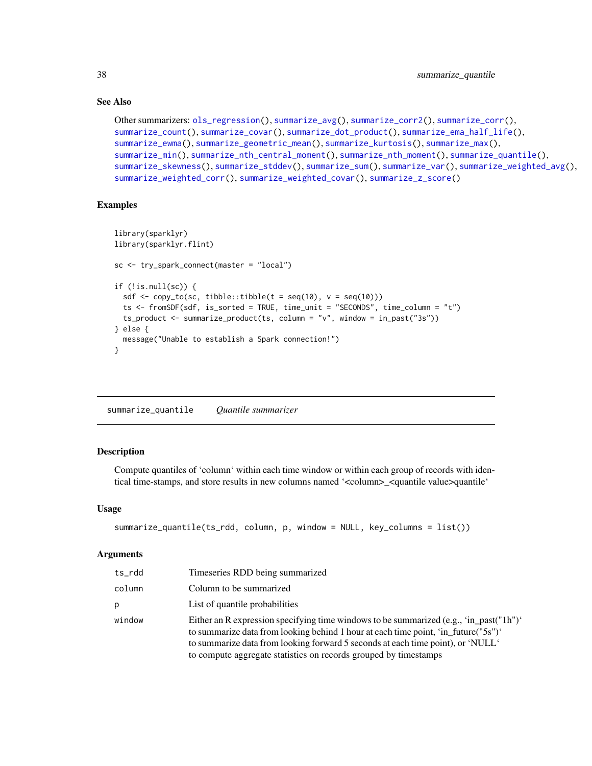## See Also

```
Other summarizers: ols_regression(), summarize_avg(), summarize_corr2(), summarize_corr(),
summarize_count(), summarize_covar(), summarize_dot_product(), summarize_ema_half_life(),
summarize_ewma(), summarize_geometric_mean(), summarize_kurtosis(), summarize_max(),
summarize_min(), summarize_nth_central_moment(), summarize_nth_moment(), summarize_quantile(),
summarize_skewness(), summarize_stddev(), summarize_sum(), summarize_var(), summarize_weighted_avg(),
summarize_weighted_corr(), summarize_weighted_covar(), summarize_z_score()
```
## Examples

```
library(sparklyr)
library(sparklyr.flint)
sc <- try_spark_connect(master = "local")
if (!is.null(sc)) {
 sdf \leq copy_to(sc, tibble::tibble(t = seq(10), v = seq(10)))
 ts <- fromSDF(sdf, is_sorted = TRUE, time_unit = "SECONDS", time_column = "t")
 ts_product <- summarize_product(ts, column = "v", window = in_past("3s"))
} else {
 message("Unable to establish a Spark connection!")
}
```
<span id="page-37-1"></span>summarize\_quantile *Quantile summarizer*

## Description

Compute quantiles of 'column' within each time window or within each group of records with identical time-stamps, and store results in new columns named '<column>\_<quantile value>quantile'

#### Usage

```
summarize_quantile(ts_rdd, column, p, window = NULL, key_columns = list())
```

| ts_rdd | Timeseries RDD being summarized                                                                                                                                                                                                                                                                                                     |
|--------|-------------------------------------------------------------------------------------------------------------------------------------------------------------------------------------------------------------------------------------------------------------------------------------------------------------------------------------|
| column | Column to be summarized                                                                                                                                                                                                                                                                                                             |
| р      | List of quantile probabilities                                                                                                                                                                                                                                                                                                      |
| window | Either an R expression specifying time windows to be summarized (e.g., 'in_past("1h")'<br>to summarize data from looking behind 1 hour at each time point, 'in_future("5s")'<br>to summarize data from looking forward 5 seconds at each time point), or 'NULL'<br>to compute aggregate statistics on records grouped by timestamps |

<span id="page-37-0"></span>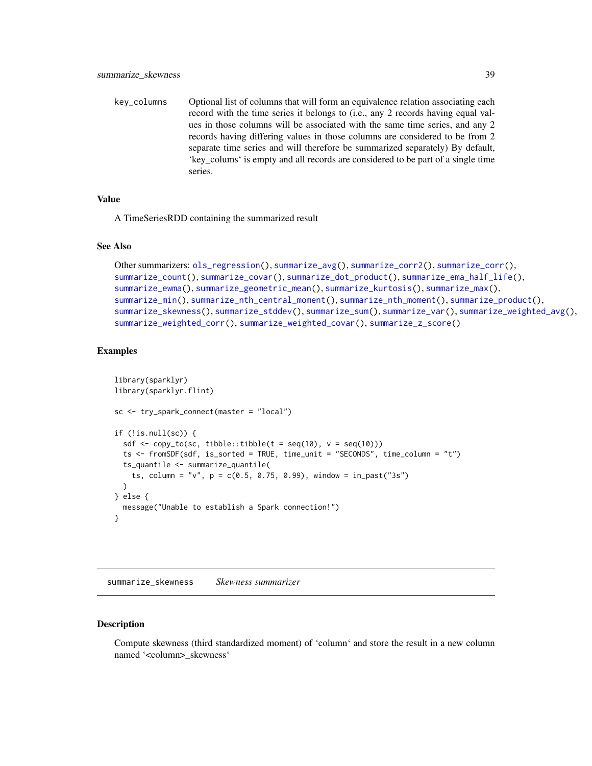<span id="page-38-0"></span>key\_columns Optional list of columns that will form an equivalence relation associating each record with the time series it belongs to (i.e., any 2 records having equal values in those columns will be associated with the same time series, and any 2 records having differing values in those columns are considered to be from 2 separate time series and will therefore be summarized separately) By default, 'key\_colums' is empty and all records are considered to be part of a single time series.

## Value

A TimeSeriesRDD containing the summarized result

## See Also

```
Other summarizers: ols_regression(), summarize_avg(), summarize_corr2(), summarize_corr(),
summarize_count(), summarize_covar(), summarize_dot_product(), summarize_ema_half_life(),
summarize_ewma(), summarize_geometric_mean(), summarize_kurtosis(), summarize_max(),
summarize_min(), summarize_nth_central_moment(), summarize_nth_moment(), summarize_product(),
summarize_skewness(), summarize_stddev(), summarize_sum(), summarize_var(), summarize_weighted_avg(),
summarize_weighted_corr(), summarize_weighted_covar(), summarize_z_score()
```
## Examples

```
library(sparklyr)
library(sparklyr.flint)
sc <- try_spark_connect(master = "local")
if (!is.null(sc)) {
 sdf \leftarrow copy_to(sc, tibble::tibble(t = seq(10), v = seq(10)))ts <- fromSDF(sdf, is_sorted = TRUE, time_unit = "SECONDS", time_column = "t")
 ts_quantile <- summarize_quantile(
    ts, column = "v", p = c(0.5, 0.75, 0.99), window = in_past("3s")
 )
} else {
 message("Unable to establish a Spark connection!")
}
```
<span id="page-38-1"></span>summarize\_skewness *Skewness summarizer*

#### **Description**

Compute skewness (third standardized moment) of 'column' and store the result in a new column named '<column>\_skewness'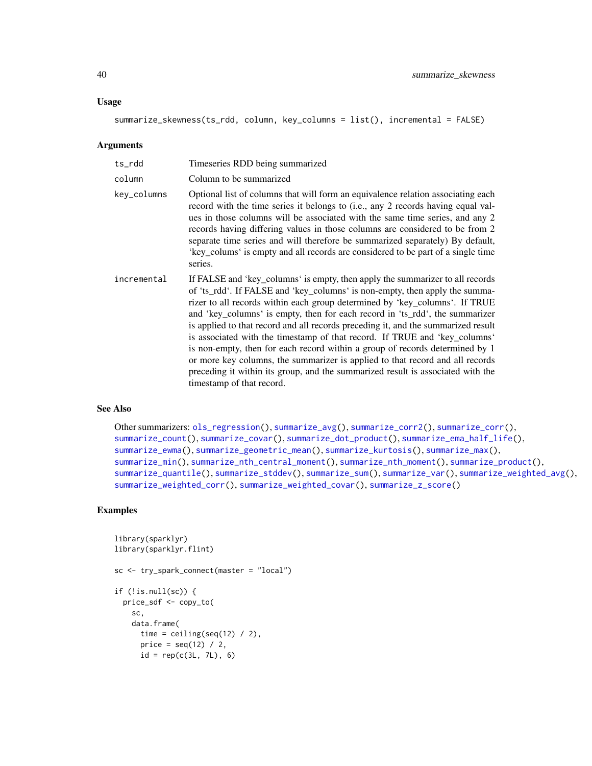#### <span id="page-39-0"></span>Usage

```
summarize_skewness(ts_rdd, column, key_columns = list(), incremental = FALSE)
```
#### Arguments

| ts_rdd      | Timeseries RDD being summarized                                                                                                                                                                                                                                                                                                                                                                                                                                                                                                                                                                                                                                                                                                                                                 |
|-------------|---------------------------------------------------------------------------------------------------------------------------------------------------------------------------------------------------------------------------------------------------------------------------------------------------------------------------------------------------------------------------------------------------------------------------------------------------------------------------------------------------------------------------------------------------------------------------------------------------------------------------------------------------------------------------------------------------------------------------------------------------------------------------------|
| column      | Column to be summarized                                                                                                                                                                                                                                                                                                                                                                                                                                                                                                                                                                                                                                                                                                                                                         |
| key_columns | Optional list of columns that will form an equivalence relation associating each<br>record with the time series it belongs to (i.e., any 2 records having equal val-<br>ues in those columns will be associated with the same time series, and any 2<br>records having differing values in those columns are considered to be from 2<br>separate time series and will therefore be summarized separately) By default,<br>'key_colums' is empty and all records are considered to be part of a single time<br>series.                                                                                                                                                                                                                                                            |
| incremental | If FALSE and 'key_columns' is empty, then apply the summarizer to all records<br>of 'ts_rdd'. If FALSE and 'key_columns' is non-empty, then apply the summa-<br>rizer to all records within each group determined by 'key_columns'. If TRUE<br>and 'key_columns' is empty, then for each record in 'ts_rdd', the summarizer<br>is applied to that record and all records preceding it, and the summarized result<br>is associated with the timestamp of that record. If TRUE and 'key_columns'<br>is non-empty, then for each record within a group of records determined by 1<br>or more key columns, the summarizer is applied to that record and all records<br>preceding it within its group, and the summarized result is associated with the<br>timestamp of that record. |

## See Also

```
Other summarizers: ols_regression(), summarize_avg(), summarize_corr2(), summarize_corr(),
summarize_count(), summarize_covar(), summarize_dot_product(), summarize_ema_half_life(),
summarize_ewma(), summarize_geometric_mean(), summarize_kurtosis(), summarize_max(),
summarize_min(), summarize_nth_central_moment(), summarize_nth_moment(), summarize_product(),
summarize_quantile(), summarize_stddev(), summarize_sum(), summarize_var(), summarize_weighted_avg(),
summarize_weighted_corr(), summarize_weighted_covar(), summarize_z_score()
```

```
library(sparklyr)
library(sparklyr.flint)
sc <- try_spark_connect(master = "local")
if (!is.null(sc)) {
  price_sdf <- copy_to(
   sc,
   data.frame(
     time = ceiling(seq(12) / 2),
      price = seq(12) / 2,
      id = rep(c(3L, 7L), 6)
```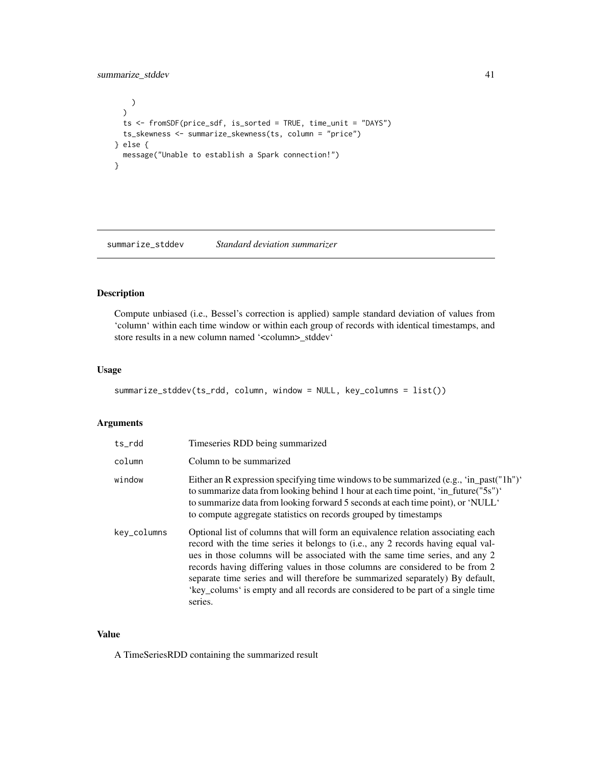## <span id="page-40-0"></span>summarize\_stddev 41

```
\lambda)
 ts <- fromSDF(price_sdf, is_sorted = TRUE, time_unit = "DAYS")
 ts_skewness <- summarize_skewness(ts, column = "price")
} else {
 message("Unable to establish a Spark connection!")
}
```
<span id="page-40-1"></span>summarize\_stddev *Standard deviation summarizer*

## Description

Compute unbiased (i.e., Bessel's correction is applied) sample standard deviation of values from 'column' within each time window or within each group of records with identical timestamps, and store results in a new column named '<column>\_stddev'

#### Usage

```
summarize_stddev(ts_rdd, column, window = NULL, key_columns = list())
```
#### Arguments

| ts rdd      | Timeseries RDD being summarized                                                                                                                                                                                                                                                                                                                                                                                                                                                                                      |
|-------------|----------------------------------------------------------------------------------------------------------------------------------------------------------------------------------------------------------------------------------------------------------------------------------------------------------------------------------------------------------------------------------------------------------------------------------------------------------------------------------------------------------------------|
| column      | Column to be summarized                                                                                                                                                                                                                                                                                                                                                                                                                                                                                              |
| window      | Either an R expression specifying time windows to be summarized (e.g., 'in_past("1h")'<br>to summarize data from looking behind 1 hour at each time point, 'in_future("5s")'<br>to summarize data from looking forward 5 seconds at each time point), or 'NULL'<br>to compute aggregate statistics on records grouped by timestamps                                                                                                                                                                                  |
| key_columns | Optional list of columns that will form an equivalence relation associating each<br>record with the time series it belongs to (i.e., any 2 records having equal val-<br>ues in those columns will be associated with the same time series, and any 2<br>records having differing values in those columns are considered to be from 2<br>separate time series and will therefore be summarized separately) By default,<br>'key_colums' is empty and all records are considered to be part of a single time<br>series. |

## Value

A TimeSeriesRDD containing the summarized result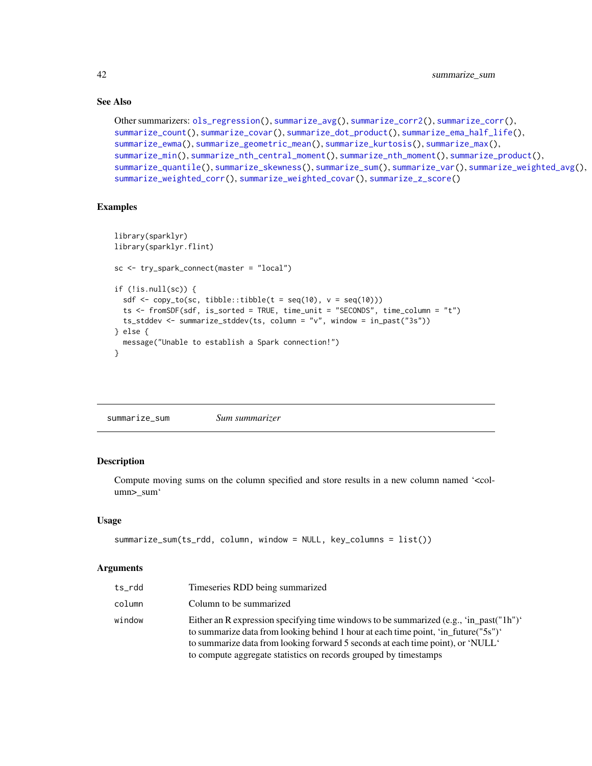## See Also

```
Other summarizers: ols_regression(), summarize_avg(), summarize_corr2(), summarize_corr(),
summarize_count(), summarize_covar(), summarize_dot_product(), summarize_ema_half_life(),
summarize_ewma(), summarize_geometric_mean(), summarize_kurtosis(), summarize_max(),
summarize_min(), summarize_nth_central_moment(), summarize_nth_moment(), summarize_product(),
summarize_quantile(), summarize_skewness(), summarize_sum(), summarize_var(), summarize_weighted_avg(),
summarize_weighted_corr(), summarize_weighted_covar(), summarize_z_score()
```
## Examples

```
library(sparklyr)
library(sparklyr.flint)
sc <- try_spark_connect(master = "local")
if (!is.null(sc)) {
  sdf \leftarrow copy_to(sc, tibble::tibble(t = seq(10), v = seq(10)))ts <- fromSDF(sdf, is_sorted = TRUE, time_unit = "SECONDS", time_column = "t")
  ts_stddev <- summarize_stddev(ts, column = "v", window = in_past("3s"))
} else {
  message("Unable to establish a Spark connection!")
}
```
<span id="page-41-1"></span>

| summarize_sum | Sum summarizer |
|---------------|----------------|
|---------------|----------------|

## Description

Compute moving sums on the column specified and store results in a new column named '<column>\_sum'

#### Usage

```
summarize_sum(ts_rdd, column, window = NULL, key_columns = list())
```

| ts_rdd | Timeseries RDD being summarized                                                                                                                                                                                                                                                                                                     |
|--------|-------------------------------------------------------------------------------------------------------------------------------------------------------------------------------------------------------------------------------------------------------------------------------------------------------------------------------------|
| column | Column to be summarized                                                                                                                                                                                                                                                                                                             |
| window | Either an R expression specifying time windows to be summarized (e.g., 'in past("1h")'<br>to summarize data from looking behind 1 hour at each time point, 'in_future("5s")'<br>to summarize data from looking forward 5 seconds at each time point), or 'NULL'<br>to compute aggregate statistics on records grouped by timestamps |

<span id="page-41-0"></span>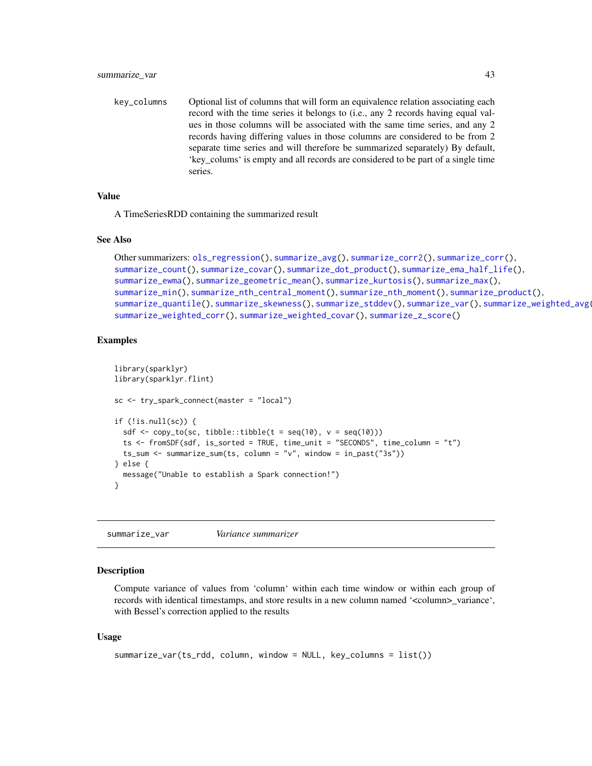<span id="page-42-0"></span>key\_columns Optional list of columns that will form an equivalence relation associating each record with the time series it belongs to (i.e., any 2 records having equal values in those columns will be associated with the same time series, and any 2 records having differing values in those columns are considered to be from 2 separate time series and will therefore be summarized separately) By default, 'key\_colums' is empty and all records are considered to be part of a single time series.

#### Value

A TimeSeriesRDD containing the summarized result

#### See Also

```
Other summarizers: ols_regression(), summarize_avg(), summarize_corr2(), summarize_corr(),
summarize_count(), summarize_covar(), summarize_dot_product(), summarize_ema_half_life(),
summarize_ewma(), summarize_geometric_mean(), summarize_kurtosis(), summarize_max(),
summarize_min(), summarize_nth_central_moment(), summarize_nth_moment(), summarize_product(),
summarize_quantile(), summarize_skewness(), summarize_stddev(), summarize_var(), summarize_weighted_avg(),
summarize_weighted_corr(), summarize_weighted_covar(), summarize_z_score()
```
## Examples

```
library(sparklyr)
library(sparklyr.flint)
sc <- try_spark_connect(master = "local")
if (!is.null(sc)) {
 sdf <- copy_to(sc, tibble::tibble(t = seq(10), v = seq(10)))
 ts <- fromSDF(sdf, is_sorted = TRUE, time_unit = "SECONDS", time_column = "t")
 ts_sum <- summarize_sum(ts, column = "v", window = in_past("3s"))
} else {
 message("Unable to establish a Spark connection!")
}
```
<span id="page-42-1"></span>summarize\_var *Variance summarizer*

#### **Description**

Compute variance of values from 'column' within each time window or within each group of records with identical timestamps, and store results in a new column named '<column>\_variance', with Bessel's correction applied to the results

#### Usage

```
summarize_var(ts_rdd, column, window = NULL, key_columns = list())
```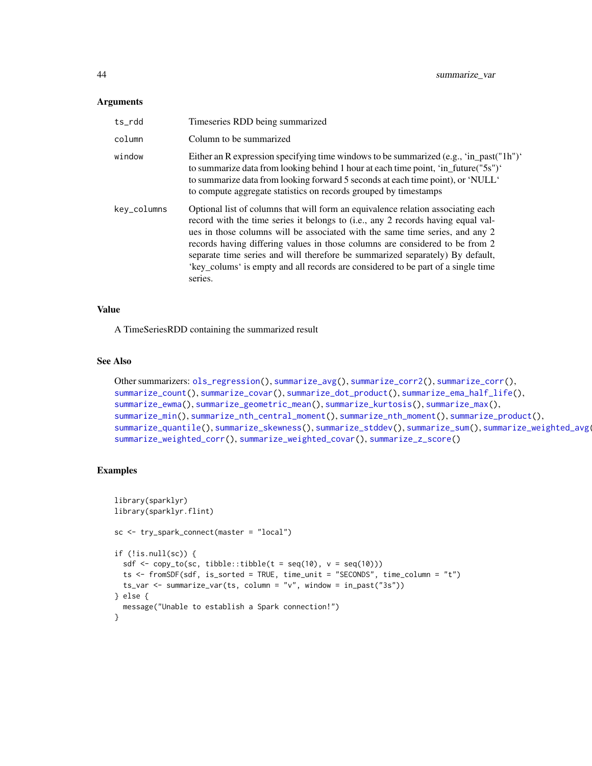#### <span id="page-43-0"></span>**Arguments**

| ts rdd      | Timeseries RDD being summarized                                                                                                                                                                                                                                                                                                                                                                                                                                                                                      |
|-------------|----------------------------------------------------------------------------------------------------------------------------------------------------------------------------------------------------------------------------------------------------------------------------------------------------------------------------------------------------------------------------------------------------------------------------------------------------------------------------------------------------------------------|
| column      | Column to be summarized                                                                                                                                                                                                                                                                                                                                                                                                                                                                                              |
| window      | Either an R expression specifying time windows to be summarized (e.g., 'in_past("1h")'<br>to summarize data from looking behind 1 hour at each time point, 'in_future("5s")'<br>to summarize data from looking forward 5 seconds at each time point), or 'NULL'<br>to compute aggregate statistics on records grouped by timestamps                                                                                                                                                                                  |
| key_columns | Optional list of columns that will form an equivalence relation associating each<br>record with the time series it belongs to (i.e., any 2 records having equal val-<br>ues in those columns will be associated with the same time series, and any 2<br>records having differing values in those columns are considered to be from 2<br>separate time series and will therefore be summarized separately) By default,<br>'key_colums' is empty and all records are considered to be part of a single time<br>series. |

## Value

A TimeSeriesRDD containing the summarized result

## See Also

```
Other summarizers: ols_regression(), summarize_avg(), summarize_corr2(), summarize_corr(),
summarize_count(), summarize_covar(), summarize_dot_product(), summarize_ema_half_life(),
summarize_ewma(), summarize_geometric_mean(), summarize_kurtosis(), summarize_max(),
summarize_min(), summarize_nth_central_moment(), summarize_nth_moment(), summarize_product(),
summarize_quantile(), summarize_skewness(), summarize_stddev(), summarize_sum(), summarize_weighted_avg(),
summarize_weighted_corr(), summarize_weighted_covar(), summarize_z_score()
```

```
library(sparklyr)
library(sparklyr.flint)
sc <- try_spark_connect(master = "local")
if (!is.null(sc)) {
  sdf \leftarrow copy_to(sc, tibble::tibble(t = seq(10), v = seq(10)))ts <- fromSDF(sdf, is_sorted = TRUE, time_unit = "SECONDS", time_column = "t")
  ts_var <- summarize_var(ts, column = "v", window = in_past("3s"))
} else {
  message("Unable to establish a Spark connection!")
}
```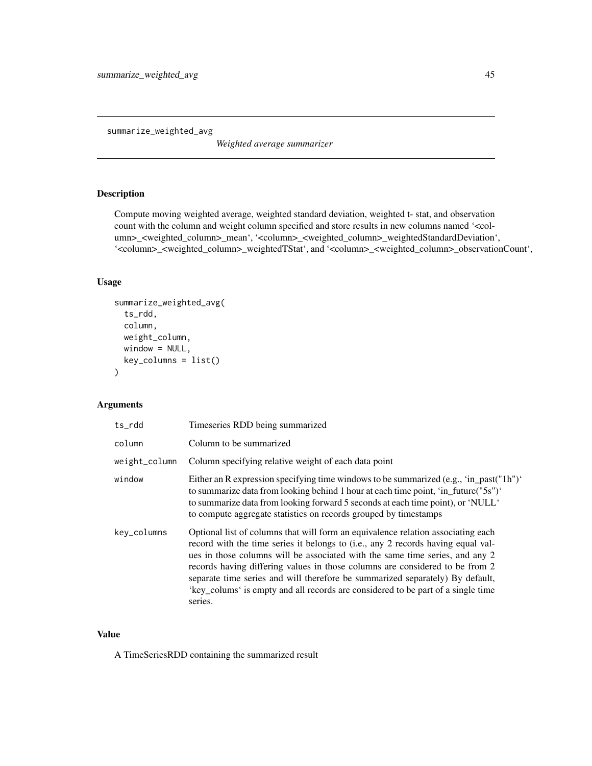<span id="page-44-1"></span><span id="page-44-0"></span>summarize\_weighted\_avg

*Weighted average summarizer*

## Description

Compute moving weighted average, weighted standard deviation, weighted t- stat, and observation count with the column and weight column specified and store results in new columns named '<column>\_<weighted\_column>\_mean', '<column>\_<weighted\_column>\_weightedStandardDeviation', '<column>\_<weighted\_column>\_weightedTStat', and '<column>\_<weighted\_column>\_observationCount',

## Usage

```
summarize_weighted_avg(
  ts_rdd,
  column,
 weight_column,
 window = NULL,
  key_columns = list()
\mathcal{E}
```
## Arguments

| ts_rdd        | Timeseries RDD being summarized                                                                                                                                                                                                                                                                                                                                                                                                                                                                                      |
|---------------|----------------------------------------------------------------------------------------------------------------------------------------------------------------------------------------------------------------------------------------------------------------------------------------------------------------------------------------------------------------------------------------------------------------------------------------------------------------------------------------------------------------------|
| column        | Column to be summarized                                                                                                                                                                                                                                                                                                                                                                                                                                                                                              |
| weight_column | Column specifying relative weight of each data point                                                                                                                                                                                                                                                                                                                                                                                                                                                                 |
| window        | Either an R expression specifying time windows to be summarized (e.g., 'in_past("1h")'<br>to summarize data from looking behind 1 hour at each time point, 'in_future("5s")'<br>to summarize data from looking forward 5 seconds at each time point), or 'NULL'<br>to compute aggregate statistics on records grouped by timestamps                                                                                                                                                                                  |
| key_columns   | Optional list of columns that will form an equivalence relation associating each<br>record with the time series it belongs to (i.e., any 2 records having equal val-<br>ues in those columns will be associated with the same time series, and any 2<br>records having differing values in those columns are considered to be from 2<br>separate time series and will therefore be summarized separately) By default,<br>'key_colums' is empty and all records are considered to be part of a single time<br>series. |

## Value

A TimeSeriesRDD containing the summarized result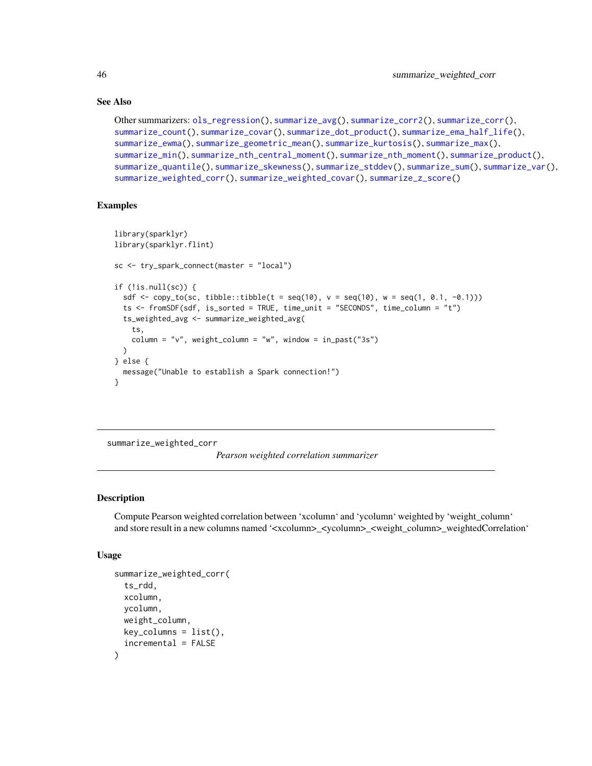## See Also

```
Other summarizers: ols_regression(), summarize_avg(), summarize_corr2(), summarize_corr(),
summarize_count(), summarize_covar(), summarize_dot_product(), summarize_ema_half_life(),
summarize_ewma(), summarize_geometric_mean(), summarize_kurtosis(), summarize_max(),
summarize_min(), summarize_nth_central_moment(), summarize_nth_moment(), summarize_product(),
summarize_quantile(), summarize_skewness(), summarize_stddev(), summarize_sum(), summarize_var(),
summarize_weighted_corr(), summarize_weighted_covar(), summarize_z_score()
```
## Examples

```
library(sparklyr)
library(sparklyr.flint)
sc <- try_spark_connect(master = "local")
if (!is.null(sc)) {
 sdf \leftarrow copy_to(sc, tibble::tibble(t = seq(10), v = seq(10), w = seq(1, 0.1, -0.1)))ts <- fromSDF(sdf, is_sorted = TRUE, time_unit = "SECONDS", time_column = "t")
 ts_weighted_avg <- summarize_weighted_avg(
    ts,
    column = "v", weight_column = "w", window = in_past("3s")
 \lambda} else {
 message("Unable to establish a Spark connection!")
}
```
<span id="page-45-1"></span>summarize\_weighted\_corr

*Pearson weighted correlation summarizer*

## Description

Compute Pearson weighted correlation between 'xcolumn' and 'ycolumn' weighted by 'weight\_column' and store result in a new columns named '<xcolumn>\_<ycolumn>\_<weight\_column>\_weightedCorrelation'

#### Usage

```
summarize_weighted_corr(
  ts_rdd,
  xcolumn,
 ycolumn,
  weight_column,
 key_columns = list(),
  incremental = FALSE
)
```
<span id="page-45-0"></span>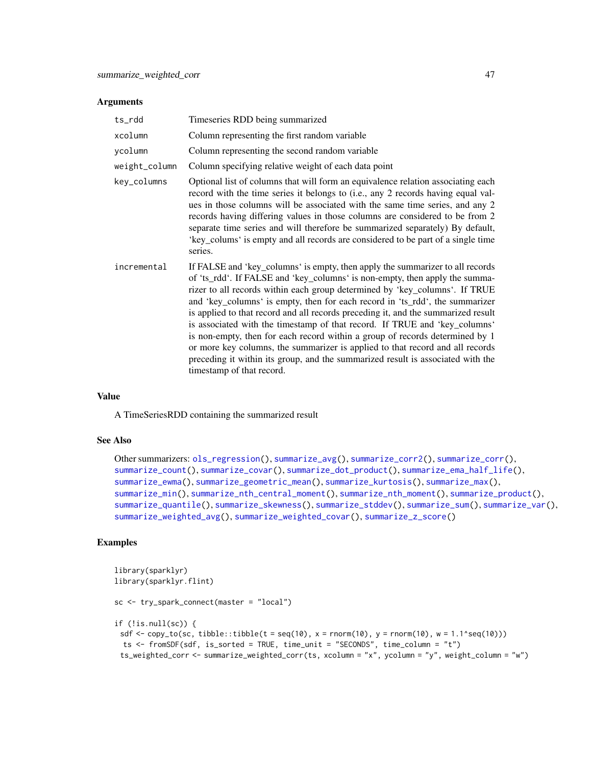#### <span id="page-46-0"></span>**Arguments**

| ts_rdd        | Timeseries RDD being summarized                                                                                                                                                                                                                                                                                                                                                                                                                                                                                                                                                                                                                                                                                                                                                 |
|---------------|---------------------------------------------------------------------------------------------------------------------------------------------------------------------------------------------------------------------------------------------------------------------------------------------------------------------------------------------------------------------------------------------------------------------------------------------------------------------------------------------------------------------------------------------------------------------------------------------------------------------------------------------------------------------------------------------------------------------------------------------------------------------------------|
| xcolumn       | Column representing the first random variable                                                                                                                                                                                                                                                                                                                                                                                                                                                                                                                                                                                                                                                                                                                                   |
| ycolumn       | Column representing the second random variable                                                                                                                                                                                                                                                                                                                                                                                                                                                                                                                                                                                                                                                                                                                                  |
| weight_column | Column specifying relative weight of each data point                                                                                                                                                                                                                                                                                                                                                                                                                                                                                                                                                                                                                                                                                                                            |
| key_columns   | Optional list of columns that will form an equivalence relation associating each<br>record with the time series it belongs to (i.e., any 2 records having equal val-<br>ues in those columns will be associated with the same time series, and any 2<br>records having differing values in those columns are considered to be from 2<br>separate time series and will therefore be summarized separately) By default,<br>'key_colums' is empty and all records are considered to be part of a single time<br>series.                                                                                                                                                                                                                                                            |
| incremental   | If FALSE and 'key_columns' is empty, then apply the summarizer to all records<br>of 'ts_rdd'. If FALSE and 'key_columns' is non-empty, then apply the summa-<br>rizer to all records within each group determined by 'key_columns'. If TRUE<br>and 'key_columns' is empty, then for each record in 'ts_rdd', the summarizer<br>is applied to that record and all records preceding it, and the summarized result<br>is associated with the timestamp of that record. If TRUE and 'key_columns'<br>is non-empty, then for each record within a group of records determined by 1<br>or more key columns, the summarizer is applied to that record and all records<br>preceding it within its group, and the summarized result is associated with the<br>timestamp of that record. |

## Value

A TimeSeriesRDD containing the summarized result

#### See Also

```
Other summarizers: ols_regression(), summarize_avg(), summarize_corr2(), summarize_corr(),
summarize_count(), summarize_covar(), summarize_dot_product(), summarize_ema_half_life(),
summarize_ewma(), summarize_geometric_mean(), summarize_kurtosis(), summarize_max(),
summarize_min(), summarize_nth_central_moment(), summarize_nth_moment(), summarize_product(),
summarize_quantile(), summarize_skewness(), summarize_stddev(), summarize_sum(), summarize_var(),
summarize_weighted_avg(), summarize_weighted_covar(), summarize_z_score()
```

```
library(sparklyr)
library(sparklyr.flint)
sc <- try_spark_connect(master = "local")
if (!is.null(sc)) {
 sdf <- copy_to(sc, tibble::tibble(t = seq(10), x = rnorm(10), y = rnorm(10), w = 1.1^seq(10)))
 ts <- fromSDF(sdf, is_sorted = TRUE, time_unit = "SECONDS", time_column = "t")
 ts_weighted_corr <- summarize_weighted_corr(ts, xcolumn = "x", ycolumn = "y", weight_column = "w")
```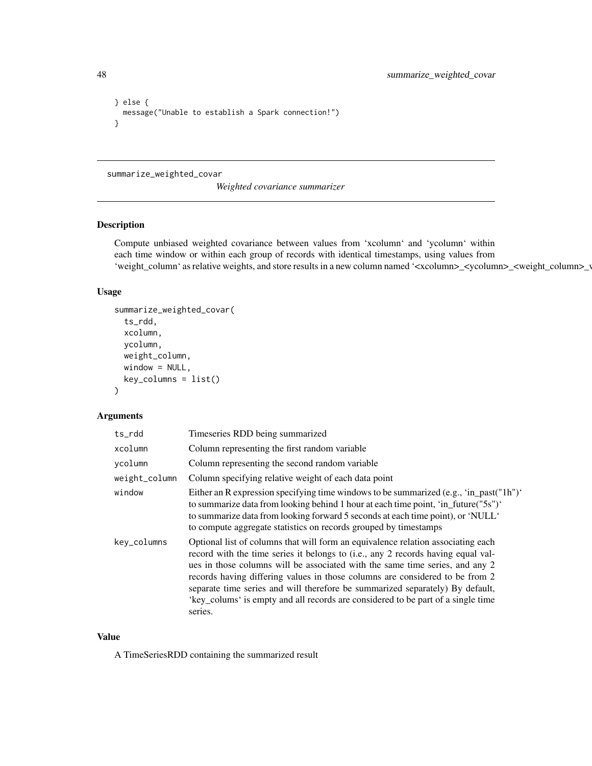```
} else {
  message("Unable to establish a Spark connection!")
}
```
#### <span id="page-47-1"></span>summarize\_weighted\_covar

*Weighted covariance summarizer*

## Description

Compute unbiased weighted covariance between values from 'xcolumn' and 'ycolumn' within each time window or within each group of records with identical timestamps, using values from 'weight\_column' as relative weights, and store results in a new column named '<xcolumn>\_<ycolumn>\_<weight\_column>\_

## Usage

```
summarize_weighted_covar(
  ts_rdd,
 xcolumn,
 ycolumn,
 weight_column,
 window = NULL,key_columns = list()
)
```
## Arguments

| ts_rdd        | Timeseries RDD being summarized                                                                                                                                                                                                                                                                                                                                                                                                                                                                                      |
|---------------|----------------------------------------------------------------------------------------------------------------------------------------------------------------------------------------------------------------------------------------------------------------------------------------------------------------------------------------------------------------------------------------------------------------------------------------------------------------------------------------------------------------------|
| xcolumn       | Column representing the first random variable                                                                                                                                                                                                                                                                                                                                                                                                                                                                        |
| vcolumn       | Column representing the second random variable                                                                                                                                                                                                                                                                                                                                                                                                                                                                       |
| weight_column | Column specifying relative weight of each data point                                                                                                                                                                                                                                                                                                                                                                                                                                                                 |
| window        | Either an R expression specifying time windows to be summarized (e.g., 'in_past("1h")'<br>to summarize data from looking behind 1 hour at each time point, 'in_future("5s")'<br>to summarize data from looking forward 5 seconds at each time point), or 'NULL'<br>to compute aggregate statistics on records grouped by timestamps                                                                                                                                                                                  |
| key_columns   | Optional list of columns that will form an equivalence relation associating each<br>record with the time series it belongs to (i.e., any 2 records having equal val-<br>ues in those columns will be associated with the same time series, and any 2<br>records having differing values in those columns are considered to be from 2<br>separate time series and will therefore be summarized separately) By default,<br>'key_colums' is empty and all records are considered to be part of a single time<br>series. |

## Value

A TimeSeriesRDD containing the summarized result

<span id="page-47-0"></span>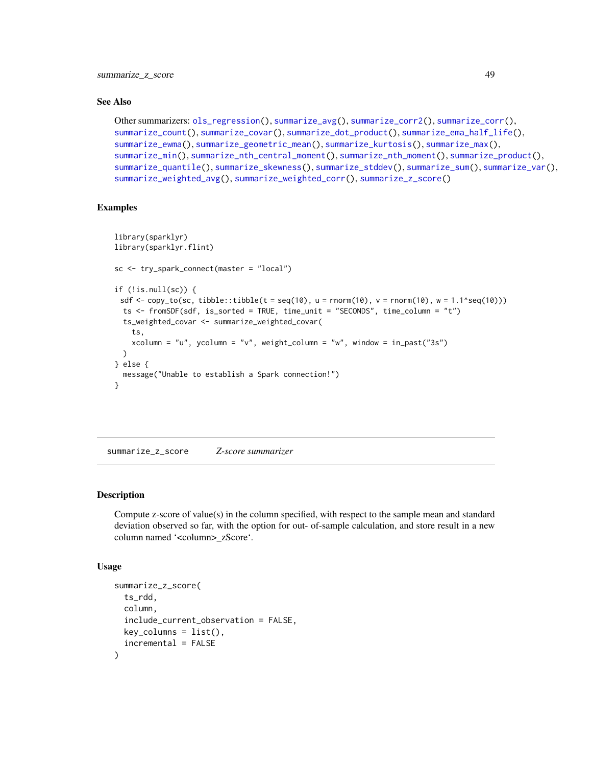#### <span id="page-48-0"></span>See Also

```
Other summarizers: ols_regression(), summarize_avg(), summarize_corr2(), summarize_corr(),
summarize_count(), summarize_covar(), summarize_dot_product(), summarize_ema_half_life(),
summarize_ewma(), summarize_geometric_mean(), summarize_kurtosis(), summarize_max(),
summarize_min(), summarize_nth_central_moment(), summarize_nth_moment(), summarize_product(),
summarize_quantile(), summarize_skewness(), summarize_stddev(), summarize_sum(), summarize_var(),
summarize_weighted_avg(), summarize_weighted_corr(), summarize_z_score()
```
## Examples

```
library(sparklyr)
library(sparklyr.flint)
sc <- try_spark_connect(master = "local")
if (!is.null(sc)) {
 sdf \leq copy_to(sc, tibble::tibble(t = seq(10), u = rnorm(10), v = rnorm(10), w = 1.1^seq(10)))
 ts <- fromSDF(sdf, is_sorted = TRUE, time_unit = "SECONDS", time_column = "t")
 ts_weighted_covar <- summarize_weighted_covar(
    ts,
   xcolumn = "u", ycolumn = "v", weight_column = "w", window = in_past("3s")
 )
} else {
 message("Unable to establish a Spark connection!")
}
```
<span id="page-48-1"></span>summarize\_z\_score *Z-score summarizer*

#### Description

Compute z-score of value(s) in the column specified, with respect to the sample mean and standard deviation observed so far, with the option for out- of-sample calculation, and store result in a new column named '<column>\_zScore'.

#### Usage

```
summarize_z_score(
  ts_rdd,
  column,
  include_current_observation = FALSE,
 key\_columns = list(),
  incremental = FALSE
)
```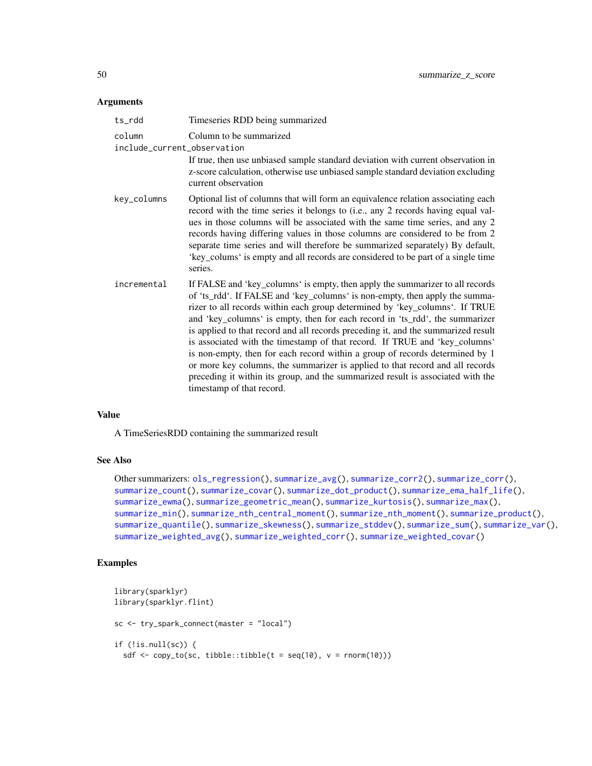#### <span id="page-49-0"></span>Arguments

| ts_rdd                                | Timeseries RDD being summarized                                                                                                                                                                                                                                                                                                                                                                                                                                                                                                                                                                                                                                                                                                                                                 |
|---------------------------------------|---------------------------------------------------------------------------------------------------------------------------------------------------------------------------------------------------------------------------------------------------------------------------------------------------------------------------------------------------------------------------------------------------------------------------------------------------------------------------------------------------------------------------------------------------------------------------------------------------------------------------------------------------------------------------------------------------------------------------------------------------------------------------------|
| column<br>include_current_observation | Column to be summarized                                                                                                                                                                                                                                                                                                                                                                                                                                                                                                                                                                                                                                                                                                                                                         |
|                                       | If true, then use unbiased sample standard deviation with current observation in<br>z-score calculation, otherwise use unbiased sample standard deviation excluding<br>current observation                                                                                                                                                                                                                                                                                                                                                                                                                                                                                                                                                                                      |
| key_columns                           | Optional list of columns that will form an equivalence relation associating each<br>record with the time series it belongs to (i.e., any 2 records having equal val-<br>ues in those columns will be associated with the same time series, and any 2<br>records having differing values in those columns are considered to be from 2<br>separate time series and will therefore be summarized separately) By default,<br>'key_colums' is empty and all records are considered to be part of a single time<br>series.                                                                                                                                                                                                                                                            |
| incremental                           | If FALSE and 'key_columns' is empty, then apply the summarizer to all records<br>of 'ts_rdd'. If FALSE and 'key_columns' is non-empty, then apply the summa-<br>rizer to all records within each group determined by 'key_columns'. If TRUE<br>and 'key_columns' is empty, then for each record in 'ts_rdd', the summarizer<br>is applied to that record and all records preceding it, and the summarized result<br>is associated with the timestamp of that record. If TRUE and 'key_columns'<br>is non-empty, then for each record within a group of records determined by 1<br>or more key columns, the summarizer is applied to that record and all records<br>preceding it within its group, and the summarized result is associated with the<br>timestamp of that record. |

## Value

A TimeSeriesRDD containing the summarized result

## See Also

```
Other summarizers: ols_regression(), summarize_avg(), summarize_corr2(), summarize_corr(),
summarize_count(), summarize_covar(), summarize_dot_product(), summarize_ema_half_life(),
summarize_ewma(), summarize_geometric_mean(), summarize_kurtosis(), summarize_max(),
summarize_min(), summarize_nth_central_moment(), summarize_nth_moment(), summarize_product(),
summarize_quantile(), summarize_skewness(), summarize_stddev(), summarize_sum(), summarize_var(),
summarize_weighted_avg(), summarize_weighted_corr(), summarize_weighted_covar()
```

```
library(sparklyr)
library(sparklyr.flint)
sc <- try_spark_connect(master = "local")
if (!is.null(sc)) {
  sdf \leftarrow copy_to(sc, tibble::tibble(t = seq(10), v = rnorm(10)))
```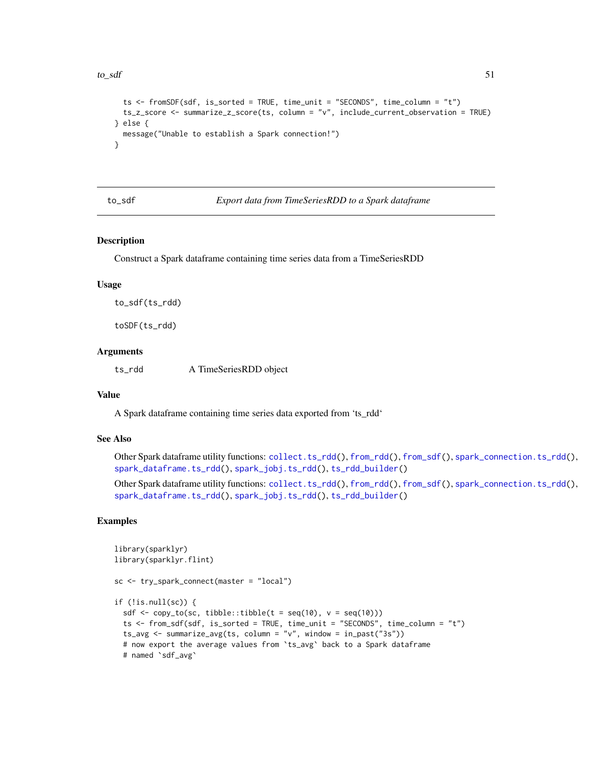#### <span id="page-50-0"></span> $\frac{1}{51}$  to  $\frac{1}{51}$

```
ts <- fromSDF(sdf, is_sorted = TRUE, time_unit = "SECONDS", time_column = "t")
 ts_z_score <- summarize_z_score(ts, column = "v", include_current_observation = TRUE)
} else {
 message("Unable to establish a Spark connection!")
}
```
<span id="page-50-1"></span>to\_sdf *Export data from TimeSeriesRDD to a Spark dataframe*

#### **Description**

Construct a Spark dataframe containing time series data from a TimeSeriesRDD

#### Usage

to\_sdf(ts\_rdd)

toSDF(ts\_rdd)

## Arguments

ts\_rdd A TimeSeriesRDD object

#### Value

A Spark dataframe containing time series data exported from 'ts\_rdd'

## See Also

Other Spark dataframe utility functions: [collect.ts\\_rdd\(](#page-6-1)), [from\\_rdd\(](#page-7-1)), [from\\_sdf\(](#page-8-1)), [spark\\_connection.ts\\_rdd\(](#page-12-1)), [spark\\_dataframe.ts\\_rdd\(](#page-13-1)), [spark\\_jobj.ts\\_rdd\(](#page-14-1)), [ts\\_rdd\\_builder\(](#page-51-1))

Other Spark dataframe utility functions: [collect.ts\\_rdd\(](#page-6-1)), [from\\_rdd\(](#page-7-1)), [from\\_sdf\(](#page-8-1)), [spark\\_connection.ts\\_rdd\(](#page-12-1)), [spark\\_dataframe.ts\\_rdd\(](#page-13-1)), [spark\\_jobj.ts\\_rdd\(](#page-14-1)), [ts\\_rdd\\_builder\(](#page-51-1))

```
library(sparklyr)
library(sparklyr.flint)
sc <- try_spark_connect(master = "local")
if (!is.null(sc)) {
 sdf \leftarrow copy_to(sc, tibble::tibble(t = seq(10), v = seq(10)))ts <- from_sdf(sdf, is_sorted = TRUE, time_unit = "SECONDS", time_column = "t")
 ts_avg <- summarize_avg(ts, column = "v", window = in_past("3s"))
 # now export the average values from `ts_avg` back to a Spark dataframe
 # named `sdf_avg`
```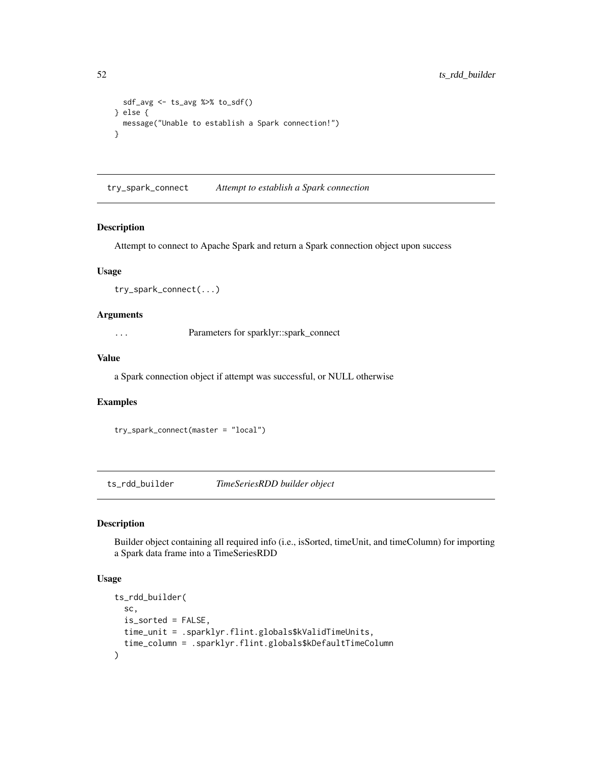```
sdf_avg <- ts_avg %>% to_sdf()
} else {
 message("Unable to establish a Spark connection!")
}
```
try\_spark\_connect *Attempt to establish a Spark connection*

#### Description

Attempt to connect to Apache Spark and return a Spark connection object upon success

## Usage

```
try_spark_connect(...)
```
## Arguments

... Parameters for sparklyr::spark\_connect

## Value

a Spark connection object if attempt was successful, or NULL otherwise

#### Examples

try\_spark\_connect(master = "local")

<span id="page-51-1"></span>ts\_rdd\_builder *TimeSeriesRDD builder object*

## Description

Builder object containing all required info (i.e., isSorted, timeUnit, and timeColumn) for importing a Spark data frame into a TimeSeriesRDD

## Usage

```
ts_rdd_builder(
  sc,
 is_sorted = FALSE,
 time_unit = .sparklyr.flint.globals$kValidTimeUnits,
  time_column = .sparklyr.flint.globals$kDefaultTimeColumn
\mathcal{E}
```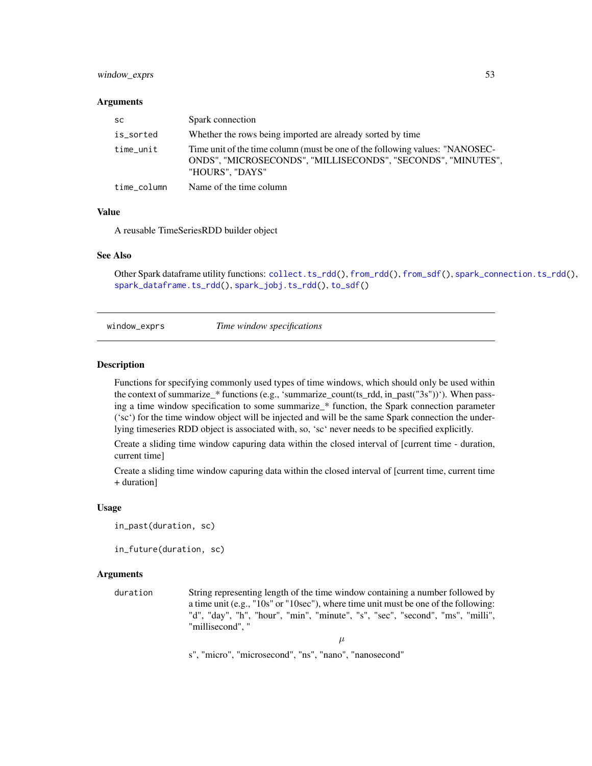## <span id="page-52-0"></span>window\_exprs 53

#### **Arguments**

| sc          | Spark connection                                                                                                                                                |
|-------------|-----------------------------------------------------------------------------------------------------------------------------------------------------------------|
| is_sorted   | Whether the rows being imported are already sorted by time                                                                                                      |
| time_unit   | Time unit of the time column (must be one of the following values: "NANOSEC-<br>ONDS", "MICROSECONDS", "MILLISECONDS", "SECONDS", "MINUTES",<br>"HOURS". "DAYS" |
| time_column | Name of the time column                                                                                                                                         |

## Value

A reusable TimeSeriesRDD builder object

#### See Also

Other Spark dataframe utility functions: [collect.ts\\_rdd\(](#page-6-1)), [from\\_rdd\(](#page-7-1)), [from\\_sdf\(](#page-8-1)), [spark\\_connection.ts\\_rdd\(](#page-12-1)), [spark\\_dataframe.ts\\_rdd\(](#page-13-1)), [spark\\_jobj.ts\\_rdd\(](#page-14-1)), [to\\_sdf\(](#page-50-1))

window\_exprs *Time window specifications*

#### Description

Functions for specifying commonly used types of time windows, which should only be used within the context of summarize\_\* functions (e.g., 'summarize\_count(ts\_rdd, in\_past("3s"))'). When passing a time window specification to some summarize\_\* function, the Spark connection parameter ('sc') for the time window object will be injected and will be the same Spark connection the underlying timeseries RDD object is associated with, so, 'sc' never needs to be specified explicitly.

Create a sliding time window capuring data within the closed interval of [current time - duration, current time]

Create a sliding time window capuring data within the closed interval of [current time, current time + duration]

#### Usage

```
in_past(duration, sc)
```
in\_future(duration, sc)

## Arguments

duration String representing length of the time window containing a number followed by a time unit (e.g., "10s" or "10sec"), where time unit must be one of the following: "d", "day", "h", "hour", "min", "minute", "s", "sec", "second", "ms", "milli", "millisecond", "

 $\mu$ 

s", "micro", "microsecond", "ns", "nano", "nanosecond"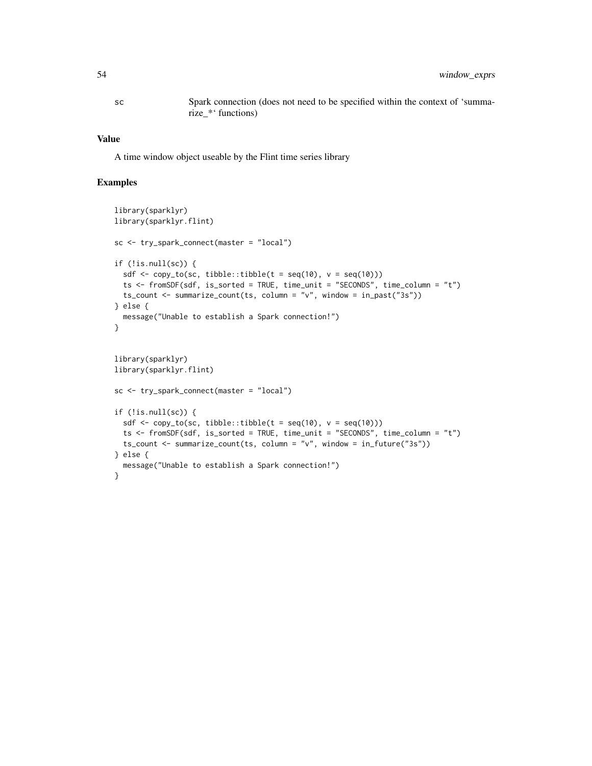sc Spark connection (does not need to be specified within the context of 'summarize\_\*' functions)

#### Value

A time window object useable by the Flint time series library

```
library(sparklyr)
library(sparklyr.flint)
sc <- try_spark_connect(master = "local")
if (!is.null(sc)) {
  sdf \leq copy_to(sc, tibble::tibble(t = seq(10), v = seq(10)))
  ts <- fromSDF(sdf, is_sorted = TRUE, time_unit = "SECONDS", time_column = "t")
  ts_count <- summarize_count(ts, column = "v", window = in_past("3s"))
} else {
  message("Unable to establish a Spark connection!")
}
library(sparklyr)
library(sparklyr.flint)
sc <- try_spark_connect(master = "local")
if (!is.null(sc)) {
  sdf \leftarrow copy_to(sc, tibble::tibble(t = seq(10), v = seq(10)))ts <- fromSDF(sdf, is_sorted = TRUE, time_unit = "SECONDS", time_column = "t")
  ts_count <- summarize_count(ts, column = "v", window = in_future("3s"))
} else {
  message("Unable to establish a Spark connection!")
}
```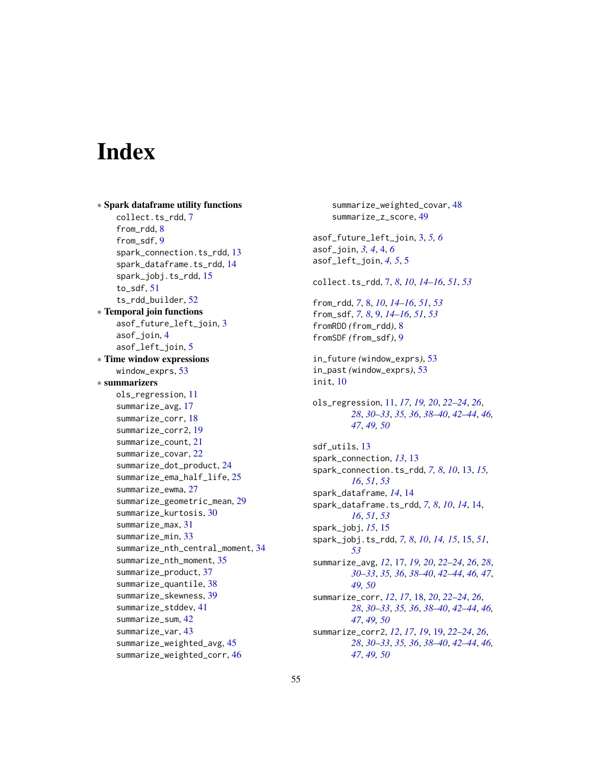# <span id="page-54-0"></span>**Index**

```
∗ Spark dataframe utility functions
    collect.ts_rdd, 7
    from_rdd, 8
    from_sdf, 9
    spark_connection.ts_rdd, 13
    spark_dataframe.ts_rdd, 14
    spark_jobj.ts_rdd, 15
    to_sdf, 51
    ts_rdd_builder, 52
∗ Temporal join functions
    asof_future_left_join, 3
    asof_join, 4
    asof_left_join, 5
∗ Time window expressions
    window_exprs, 53
∗ summarizers
    ols_regression, 11
    summarize_avg, 17
    summarize_corr, 18
    summarize_corr2, 19
    summarize_count, 21
    summarize_covar, 22
    summarize_dot_product, 24
    summarize_ema_half_life, 25
    summarize_ewma, 27
    summarize_geometric_mean, 29
    summarize_kurtosis, 30
    summarize_max, 31
    summarize_min, 33
    summarize_nth_central_moment, 34
    summarize_nth_moment, 35
    summarize_product, 37
    summarize_quantile, 38
    summarize_skewness, 39
    summarize_stddev, 41
    summarize_sum, 42
    summarize_var, 43
    summarize_weighted_avg, 45
    summarize_weighted_corr, 46
```
summarize\_weighted\_covar, [48](#page-47-0) summarize\_z\_score, [49](#page-48-0) asof\_future\_left\_join, [3,](#page-2-0) *[5,](#page-4-0) [6](#page-5-0)* asof\_join, *[3,](#page-2-0) [4](#page-3-0)*, [4,](#page-3-0) *[6](#page-5-0)* asof\_left\_join, *[4,](#page-3-0) [5](#page-4-0)*, [5](#page-4-0) collect.ts\_rdd, [7,](#page-6-0) *[8](#page-7-0)*, *[10](#page-9-0)*, *[14](#page-13-0)[–16](#page-15-0)*, *[51](#page-50-0)*, *[53](#page-52-0)* from\_rdd, *[7](#page-6-0)*, [8,](#page-7-0) *[10](#page-9-0)*, *[14](#page-13-0)[–16](#page-15-0)*, *[51](#page-50-0)*, *[53](#page-52-0)* from\_sdf, *[7,](#page-6-0) [8](#page-7-0)*, [9,](#page-8-0) *[14](#page-13-0)[–16](#page-15-0)*, *[51](#page-50-0)*, *[53](#page-52-0)* fromRDD *(*from\_rdd*)*, [8](#page-7-0) fromSDF *(*from\_sdf*)*, [9](#page-8-0) in\_future *(*window\_exprs*)*, [53](#page-52-0) in\_past *(*window\_exprs*)*, [53](#page-52-0) init, [10](#page-9-0) ols\_regression, [11,](#page-10-0) *[17](#page-16-0)*, *[19,](#page-18-0) [20](#page-19-0)*, *[22](#page-21-0)[–24](#page-23-0)*, *[26](#page-25-0)*, *[28](#page-27-0)*, *[30](#page-29-0)[–33](#page-32-0)*, *[35,](#page-34-0) [36](#page-35-0)*, *[38](#page-37-0)[–40](#page-39-0)*, *[42](#page-41-0)[–44](#page-43-0)*, *[46,](#page-45-0) [47](#page-46-0)*, *[49,](#page-48-0) [50](#page-49-0)* sdf\_utils, [13](#page-12-0) spark\_connection, *[13](#page-12-0)*, [13](#page-12-0) spark\_connection.ts\_rdd, *[7,](#page-6-0) [8](#page-7-0)*, *[10](#page-9-0)*, [13,](#page-12-0) *[15,](#page-14-0) [16](#page-15-0)*, *[51](#page-50-0)*, *[53](#page-52-0)* spark\_dataframe, *[14](#page-13-0)*, [14](#page-13-0) spark\_dataframe.ts\_rdd, *[7,](#page-6-0) [8](#page-7-0)*, *[10](#page-9-0)*, *[14](#page-13-0)*, [14,](#page-13-0) *[16](#page-15-0)*, *[51](#page-50-0)*, *[53](#page-52-0)* spark\_jobj, *[15](#page-14-0)*, [15](#page-14-0) spark\_jobj.ts\_rdd, *[7,](#page-6-0) [8](#page-7-0)*, *[10](#page-9-0)*, *[14,](#page-13-0) [15](#page-14-0)*, [15,](#page-14-0) *[51](#page-50-0)*, *[53](#page-52-0)* summarize\_avg, *[12](#page-11-0)*, [17,](#page-16-0) *[19,](#page-18-0) [20](#page-19-0)*, *[22](#page-21-0)[–24](#page-23-0)*, *[26](#page-25-0)*, *[28](#page-27-0)*, *[30](#page-29-0)[–33](#page-32-0)*, *[35,](#page-34-0) [36](#page-35-0)*, *[38](#page-37-0)[–40](#page-39-0)*, *[42](#page-41-0)[–44](#page-43-0)*, *[46,](#page-45-0) [47](#page-46-0)*, *[49,](#page-48-0) [50](#page-49-0)* summarize\_corr, *[12](#page-11-0)*, *[17](#page-16-0)*, [18,](#page-17-0) *[20](#page-19-0)*, *[22](#page-21-0)[–24](#page-23-0)*, *[26](#page-25-0)*, *[28](#page-27-0)*, *[30](#page-29-0)[–33](#page-32-0)*, *[35,](#page-34-0) [36](#page-35-0)*, *[38](#page-37-0)[–40](#page-39-0)*, *[42](#page-41-0)[–44](#page-43-0)*, *[46,](#page-45-0) [47](#page-46-0)*, *[49,](#page-48-0) [50](#page-49-0)* summarize\_corr2, *[12](#page-11-0)*, *[17](#page-16-0)*, *[19](#page-18-0)*, [19,](#page-18-0) *[22](#page-21-0)[–24](#page-23-0)*, *[26](#page-25-0)*, *[28](#page-27-0)*, *[30](#page-29-0)[–33](#page-32-0)*, *[35,](#page-34-0) [36](#page-35-0)*, *[38](#page-37-0)[–40](#page-39-0)*, *[42](#page-41-0)[–44](#page-43-0)*, *[46,](#page-45-0) [47](#page-46-0)*, *[49,](#page-48-0) [50](#page-49-0)*